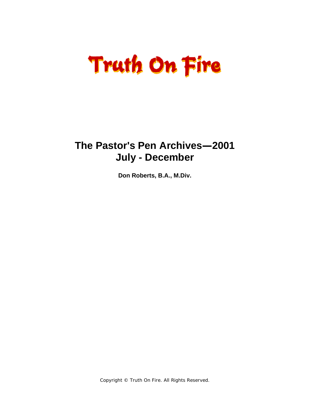# **Truth On Fire**

### **The Pastor's Pen Archives—2001 July - December**

**Don Roberts, B.A., M.Div.**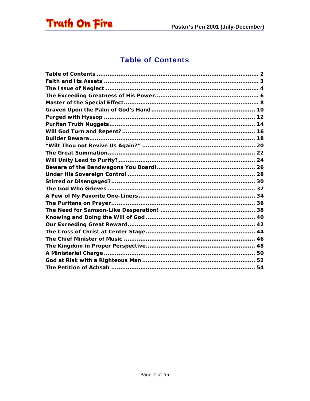<span id="page-1-0"></span>

#### **Table of Contents**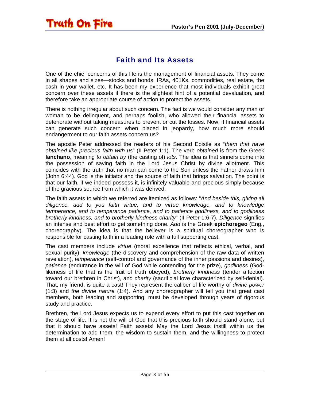#### Faith and Its Assets

<span id="page-2-0"></span>**Truth On Fire** 

One of the chief concerns of this life is the management of financial assets. They come in all shapes and sizes—stocks and bonds, IRAs, 401Ks, commodities, real estate, the cash in your wallet, etc. It has been my experience that most individuals exhibit great concern over these assets if there is the slightest hint of a potential devaluation, and therefore take an appropriate course of action to protect the assets.

There is nothing irregular about such concern. The fact is we would consider any man or woman to be delinquent, and perhaps foolish, who allowed their financial assets to deteriorate without taking measures to prevent or cut the losses. Now, if financial assets can generate such concern when placed in jeopardy, how much more should endangerment to our faith assets concern us?

The apostle Peter addressed the readers of his Second Epistle as "*them that have obtained like precious faith with us*" (II Peter 1:1). The verb *obtained* is from the Greek **lanchano**, meaning *to obtain by* (the casting of) *lots*. The idea is that sinners come into the possession of saving faith in the Lord Jesus Christ by divine allotment. This coincides with the truth that no man can come to the Son unless the Father draws him (John 6:44). God is the initiator and the source of faith that brings salvation. The point is that our faith, if we indeed possess it, is infinitely valuable and precious simply because of the gracious source from which it was derived.

The faith assets to which we referred are itemized as follows: "*And beside this, giving all diligence, add to you faith virtue, and to virtue knowledge, and to knowledge temperance, and to temperance patience, and to patience godliness, and to godliness brotherly kindness, and to brotherly kindness charity*" (II Peter 1:6-7). *Diligence* signifies an intense and best effort to get something done. *Add* is the Greek **epichoregeo** (Eng., choreography). The idea is that the believer is a spiritual choreographer who is responsible for casting faith in a leading role with a full supporting cast.

The cast members include *virtue* (moral excellence that reflects ethical, verbal, and sexual purity), *knowledge* (the discovery and comprehension of the raw data of written revelation), *temperance* (self-control and governance of the inner passions and desires), *patience* (endurance in the will of God while contending for the prize), *godliness* (Godlikeness of life that is the fruit of truth obeyed), *brotherly kindness* (tender affection toward our brethren in Christ), and *charity* (sacrificial love characterized by self-denial). That, my friend, is quite a cast! They represent the caliber of life worthy of *divine power* (1:3) and *the divine nature* (1:4). And any choreographer will tell you that great cast members, both leading and supporting, must be developed through years of rigorous study and practice.

Brethren, the Lord Jesus expects us to expend every effort to put this cast together on the stage of life. It is not the will of God that this precious faith should stand alone, but that it should have assets! Faith assets! May the Lord Jesus instill within us the determination to add them, the wisdom to sustain them, and the willingness to protect them at all costs! Amen!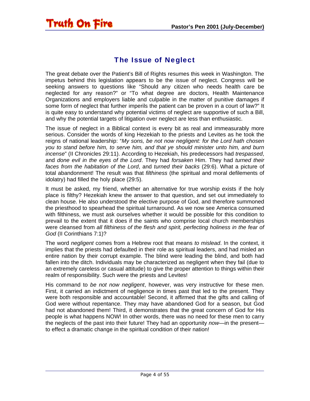

<span id="page-3-0"></span>Truth On Fire

The great debate over the Patient's Bill of Rights resumes this week in Washington. The impetus behind this legislation appears to be the issue of neglect. Congress will be seeking answers to questions like "Should any citizen who needs health care be neglected for any reason?" or "To what degree are doctors, Health Maintenance Organizations and employers liable and culpable in the matter of punitive damages if some form of neglect that further imperils the patient can be proven in a court of law?" It is quite easy to understand why potential victims of neglect are supportive of such a Bill, and why the potential targets of litigation over neglect are less than enthusiastic.

The issue of neglect in a Biblical context is every bit as real and immeasurably more serious. Consider the words of king Hezekiah to the priests and Levites as he took the reigns of national leadership: "*My sons, be not now negligent: for the Lord hath chosen you to stand before him, to serve him, and that ye should minister unto him, and burn incense*" (II Chronicles 29:11). According to Hezekiah, his predecessors had *trespassed*, and *done evil in the eyes of the Lord*. They had *forsaken* Him. They had *turned their faces from the habitation of the Lord*, and *turned their backs* (29:6). What a picture of total abandonment! The result was that *filthiness* (the spiritual and moral defilements of idolatry) had filled the holy place (29:5).

It must be asked, my friend, whether an alternative for true worship exists if the holy place is filthy? Hezekiah knew the answer to that question, and set out immediately to clean house. He also understood the elective purpose of God, and therefore summoned the priesthood to spearhead the spiritual turnaround. As we now see America consumed with filthiness, we must ask ourselves whether it would be possible for this condition to prevail to the extent that it does if the saints who comprise local church memberships were cleansed from *all filthiness of the flesh and spirit, perfecting holiness in the fear of God* (II Corinthians 7:1)?

The word *negligent* comes from a Hebrew root that means *to mislead*. In the context, it implies that the priests had defaulted in their role as spiritual leaders, and had misled an entire nation by their corrupt example. The blind were leading the blind, and both had fallen into the ditch. Individuals may be characterized as negligent when they fail (due to an extremely careless or casual attitude) to give the proper attention to things within their realm of responsibility. Such were the priests and Levites!

His command to *be not now negligent*, however, was very instructive for these men. First, it carried an indictment of negligence in times past that led to the present. They were both responsible and accountable! Second, it affirmed that the gifts and calling of God were without repentance. They may have abandoned God for a season, but God had not abandoned them! Third, it demonstrates that the great concern of God for His people is what happens NOW! In other words, there was no need for these men to carry the neglects of the past into their future! They had an opportunity *now*—in the present to effect a dramatic change in the spiritual condition of their nation!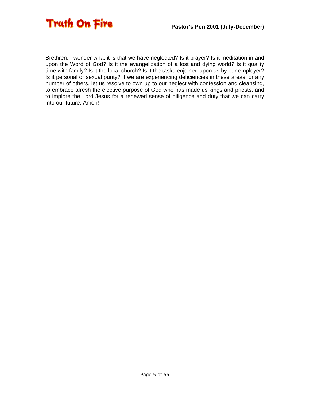

Brethren, I wonder what it is that we have neglected? Is it prayer? Is it meditation in and upon the Word of God? Is it the evangelization of a lost and dying world? Is it quality time with family? Is it the local church? Is it the tasks enjoined upon us by our employer? Is it personal or sexual purity? If we are experiencing deficiencies in these areas, or any number of others, let us resolve to own up to our neglect with confession and cleansing, to embrace afresh the elective purpose of God who has made us kings and priests, and to implore the Lord Jesus for a renewed sense of diligence and duty that we can carry into our future. Amen!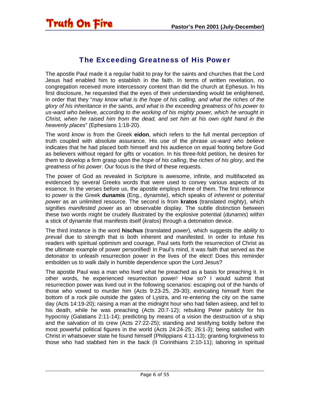#### The Exceeding Greatness of His Power

<span id="page-5-0"></span>The apostle Paul made it a regular habit to pray for the saints and churches that the Lord Jesus had enabled him to establish in the faith. In terms of written revelation, no congregation received more intercessory content than did the church at Ephesus. In his first disclosure, he requested that the eyes of their understanding would be enlightened, in order that they "*may know what is the hope of his calling, and what the riches of the glory of his inheritance in the saints, and what is the exceeding greatness of his power to us-ward who believe, according to the working of his mighty power, which he wrought in Christ, when he raised him from the dead, and set him at his own right hand in the heavenly places*" (Ephesians 1:18-20).

The word *know* is from the Greek **eidon**, which refers to the full mental perception of truth coupled with absolute assurance. His use of the phrase *us-ward who believe* indicates that he had placed both himself and his audience on equal footing before God as believers without regard for gifts or vocation. In his three-fold petition, he desires for them to develop a firm grasp upon the *hope of his calling*, the *riches of his glory*, and the *greatness of his power*. Our focus is the third of these requests.

The power of God as revealed in Scripture is awesome, infinite, and multifaceted as evidenced by several Greeks words that were used to convey various aspects of its essence. In the verses before us, the apostle employs three of them. The first reference to *power* is the Greek **dunamis** (Eng., dynamite), which speaks of *inherent* or *potential power* as an unlimited resource. The second is from **kratos** (translated *mighty*), which signifies *manifested power* as an observable display. The subtle distinction between these two words might be crudely illustrated by the explosive potential (*dunamis*) within a stick of dynamite that manifests itself (*kratos*) through a detonation device.

The third instance is the word **hischus** (translated *power*), which suggests the *ability to prevail* due to strength that is both inherent and manifested. In order to infuse his readers with spiritual optimism and courage, Paul sets forth the resurrection of Christ as the ultimate example of power personified! In Paul's mind, it was faith that served as the detonator to unleash resurrection power in the lives of the elect! Does this reminder embolden us to walk daily in humble dependence upon the Lord Jesus?

The apostle Paul was a man who lived what he preached as a basis for preaching it. In other words, he experienced resurrection power! How so? I would submit that resurrection power was lived out in the following scenarios: escaping out of the hands of those who vowed to murder him (Acts 9:23-25, 29-30); extricating himself from the bottom of a rock pile outside the gates of Lystra, and re-entering the city on the same day (Acts 14:19-20); raising a man at the midnight hour who had fallen asleep, and fell to his death, while he was preaching (Acts 20:7-12); rebuking Peter publicly for his hypocrisy (Galatians 2:11-14); predicting by means of a vision the destruction of a ship and the salvation of its crew (Acts 27:22-25); standing and testifying boldly before the most powerful political figures in the world (Acts 24:24-25; 26:1-3); being satisfied with Christ in whatsoever state he found himself (Philippians 4:11-13); granting forgiveness to those who had stabbed him in the back (II Corinthians 2:10-11); laboring in spiritual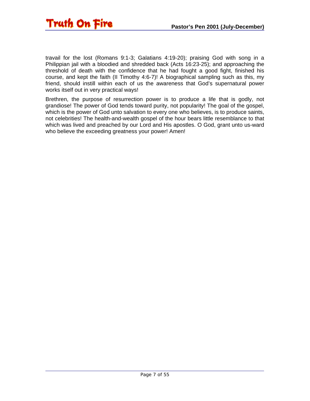

travail for the lost (Romans 9:1-3; Galatians 4:19-20); praising God with song in a Philippian jail with a bloodied and shredded back (Acts 16:23-25); and approaching the threshold of death with the confidence that he had fought a good fight, finished his course, and kept the faith (II Timothy 4:6-7)! A biographical sampling such as this, my friend, should instill within each of us the awareness that God's supernatural power works itself out in very practical ways!

Brethren, the purpose of resurrection power is to produce a life that is godly, not grandiose! The power of God tends toward purity, not popularity! The goal of the gospel, which is the power of God unto salvation to every one who believes, is to produce saints, not celebrities! The health-and-wealth gospel of the hour bears little resemblance to that which was lived and preached by our Lord and His apostles. O God, grant unto us-ward who believe the exceeding greatness your power! Amen!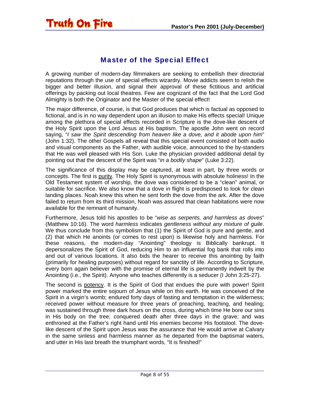### <span id="page-7-0"></span>Truth On Fire

#### Master of the Special Effect

A growing number of modern-day filmmakers are seeking to embellish their directorial reputations through the use of special effects wizardry. Movie addicts seem to relish the bigger and better illusion, and signal their approval of these fictitious and artificial offerings by packing out local theatres. Few are cognizant of the fact that the Lord God Almighty is both the Originator and the Master of the special effect!

The major difference, of course, is that God produces that which is factual as opposed to fictional, and is in no way dependent upon an illusion to make His effects special! Unique among the plethora of special effects recorded in Scripture is the dove-like descent of the Holy Spirit upon the Lord Jesus at His baptism. The apostle John went on record saying, "*I saw the Spirit descending from heaven like a dove, and it abode upon him*" (John 1:32). The other Gospels all reveal that this special event consisted of both audio and visual components as the Father, with audible voice, announced to the by-standers that He was well pleased with His Son. Luke the physician provided additional detail by pointing out that the descent of the Spirit was "*in a bodily shape*" (Luke 3:22).

The significance of this display may be captured, at least in part, by three words or concepts. The first is purity. The Holy Spirit is synonymous with absolute holiness! In the Old Testament system of worship, the dove was considered to be a "clean" animal, or suitable for sacrifice. We also know that a dove in flight is predisposed to look for clean landing places. Noah knew this when he sent forth the dove from the ark. After the dove failed to return from its third mission, Noah was assured that clean habitations were now available for the remnant of humanity.

Furthermore, Jesus told his apostles to be "*wise as serpents, and harmless as doves*" (Matthew 10:16). The word *harmless* indicates *gentleness without any mixture of guile*. We thus conclude from this symbolism that (1) the Spirit of God is pure and gentle, and (2) that which He anoints (or comes to rest upon) is likewise holy and harmless. For these reasons, the modern-day "Anointing" theology is Biblically bankrupt. It depersonalizes the Spirit of God, reducing Him to an influential fog bank that rolls into and out of various locations. It also bids the hearer to receive this anointing by faith (primarily for healing purposes) without regard for sanctity of life. According to Scripture, every born again believer with the promise of eternal life is permanently indwelt by the Anointing (i.e., the Spirit). Anyone who teaches differently is a seducer (I John 3:25-27).

The second is potency. It is the Spirit of God that endues the pure with power! Spirit power marked the entire sojourn of Jesus while on this earth. He was conceived of the Spirit in a virgin's womb; endured forty days of fasting and temptation in the wilderness; received power without measure for three years of preaching, teaching, and healing; was sustained through three dark hours on the cross, during which time He bore our sins in His body on the tree; conquered death after three days in the grave; and was enthroned at the Father's right hand until His enemies become His footstool. The dovelike descent of the Spirit upon Jesus was the assurance that He would arrive at Calvary in the same sinless and harmless manner as he departed from the baptismal waters, and utter in His last breath the triumphant words, "It is finished!"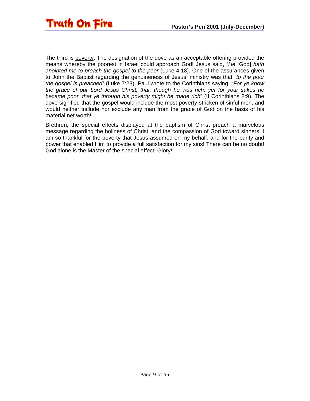The third is poverty. The designation of the dove as an acceptable offering provided the means whereby the poorest in Israel could approach God! Jesus said, "*He* [God] *hath anointed me to preach the gospel to the poor* (Luke 4:18). One of the assurances given to John the Baptist regarding the genuineness of Jesus' ministry was that "*to the poor the gospel is preached*" (Luke 7:23). Paul wrote to the Corinthians saying, "*For ye know the grace of our Lord Jesus Christ, that, though he was rich, yet for your sakes he became poor, that ye through his poverty might be made rich*" (II Corinthians 8:9). The dove signified that the gospel would include the most poverty-stricken of sinful men, and would neither include nor exclude any man from the grace of God on the basis of his material net worth!

Brethren, the special effects displayed at the baptism of Christ preach a marvelous message regarding the holiness of Christ, and the compassion of God toward sinners! I am so thankful for the poverty that Jesus assumed on my behalf, and for the purity and power that enabled Him to provide a full satisfaction for my sins! There can be no doubt! God alone is the Master of the special effect! Glory!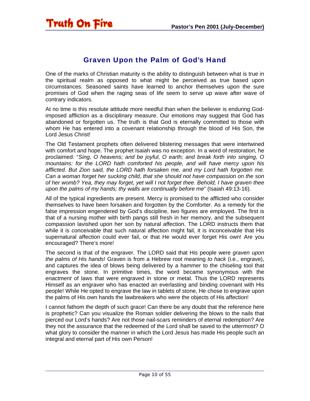#### Graven Upon the Palm of God's Hand

<span id="page-9-0"></span>One of the marks of Christian maturity is the ability to distinguish between what is true in the spiritual realm as opposed to what might be perceived as true based upon circumstances. Seasoned saints have learned to anchor themselves upon the sure promises of God when the raging seas of life seem to serve up wave after wave of contrary indicators.

At no time is this resolute attitude more needful than when the believer is enduring Godimposed affliction as a disciplinary measure. Our emotions may suggest that God has abandoned or forgotten us. The truth is that God is eternally committed to those with whom He has entered into a covenant relationship through the blood of His Son, the Lord Jesus Christ!

The Old Testament prophets often delivered blistering messages that were intertwined with comfort and hope. The prophet Isaiah was no exception. In a word of restoration, he proclaimed: "*Sing, O heavens; and be joyful, O earth; and break forth into singing, O mountains: for the LORD hath comforted his people, and will have mercy upon his afflicted. But Zion said, the LORD hath forsaken me, and my Lord hath forgotten me. Can a woman forget her sucking child, that she should not have compassion on the son of her womb? Yea, they may forget, yet will I not forget thee. Behold, I have graven thee upon the palms of my hands; thy walls are continually before me*" (Isaiah 49:13-16).

All of the typical ingredients are present. Mercy is promised to the afflicted who consider themselves to have been forsaken and forgotten by the Comforter. As a remedy for the false impression engendered by God's discipline, two figures are employed. The first is that of a nursing mother with birth pangs still fresh in her memory, and the subsequent compassion lavished upon her son by natural affection. The LORD instructs them that while it is conceivable that such natural affection might fail, it is inconceivable that His supernatural affection could ever fail, or that He would ever forget His own! Are you encouraged? There's more!

The second is that of the engraver. The LORD said that His people were *graven upon the palms of His hands*! Graven is from a Hebrew root meaning *to hack* (i.e., engrave), and captures the idea of blows being delivered by a hammer to the chiseling tool that engraves the stone. In primitive times, the word became synonymous with the *enactment* of laws that were engraved in stone or metal. Thus the LORD represents Himself as an engraver who has enacted an everlasting and binding covenant with His people! While He opted to engrave the law in tablets of stone, He chose to engrave upon the palms of His own hands the lawbreakers who were the objects of His affection!

I cannot fathom the depth of such grace! Can there be any doubt that the reference here is prophetic? Can you visualize the Roman soldier delivering the blows to the nails that pierced our Lord's hands? Are not those nail-scars reminders of eternal redemption? Are they not the assurance that the redeemed of the Lord shall be saved to the uttermost? O what glory to consider the manner in which the Lord Jesus has made His people such an integral and eternal part of His own Person!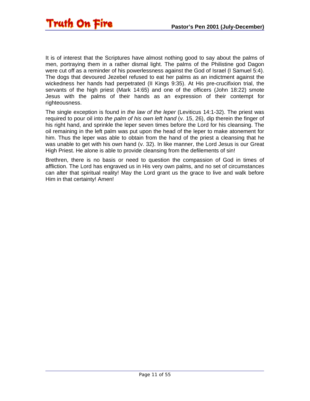It is of interest that the Scriptures have almost nothing good to say about the palms of men, portraying them in a rather dismal light. The palms of the Philistine god Dagon were cut off as a reminder of his powerlessness against the God of Israel (I Samuel 5:4). The dogs that devoured Jezebel refused to eat her palms as an indictment against the wickedness her hands had perpetrated (II Kings 9:35). At His pre-crucifixion trial, the servants of the high priest (Mark 14:65) and one of the officers (John 18:22) smote Jesus with the palms of their hands as an expression of their contempt for righteousness.

The single exception is found in *the law of the leper* (Leviticus 14:1-32). The priest was required to pour oil into *the palm of his own left hand* (v. 15, 26), dip therein the finger of his right hand, and sprinkle the leper seven times before the Lord for his cleansing. The oil remaining in the left palm was put upon the head of the leper to make atonement for him. Thus the leper was able to obtain from the hand of the priest a cleansing that he was unable to get with his own hand (v. 32). In like manner, the Lord Jesus is our Great High Priest. He alone is able to provide cleansing from the defilements of sin!

Brethren, there is no basis or need to question the compassion of God in times of affliction. The Lord has engraved us in His very own palms, and no set of circumstances can alter that spiritual reality! May the Lord grant us the grace to live and walk before Him in that certainty! Amen!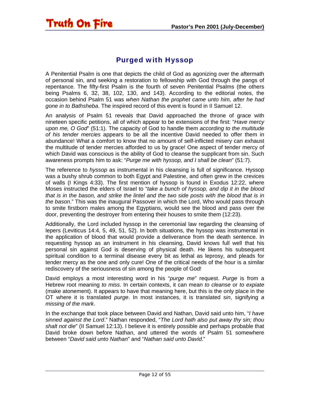#### Purged with Hyssop

<span id="page-11-0"></span>**Truth On Fire** 

A Penitential Psalm is one that depicts the child of God as agonizing over the aftermath of personal sin, and seeking a restoration to fellowship with God through the pangs of repentance. The fifty-first Psalm is the fourth of seven Penitential Psalms (the others being Psalms 6, 32, 38, 102, 130, and 143). According to the editorial notes, the occasion behind Psalm 51 was *when Nathan the prophet came unto him, after he had gone in to Bathsheba*. The inspired record of this event is found in II Samuel 12.

An analysis of Psalm 51 reveals that David approached the throne of grace with nineteen specific petitions, all of which appear to be extensions of the first: "*Have mercy upon me, O God*" (51:1). The capacity of God to handle them *according to the multitude of his tender mercies* appears to be all the incentive David needed to offer them in abundance! What a comfort to know that no amount of self-inflicted misery can exhaust the multitude of tender mercies afforded to us by grace! One aspect of tender mercy of which David was conscious is the ability of God to cleanse the supplicant from sin. Such awareness prompts him to ask: "*Purge me with hyssop, and I shall be clean*" (51:7).

The reference to *hyssop* as instrumental in his cleansing is full of significance. Hyssop was a bushy shrub common to both Egypt and Palestine, and often grew in the crevices of walls (I Kings 4:33). The first mention of hyssop is found in Exodus 12:22, where Moses instructed the elders of Israel to "*take a bunch of hyssop, and dip it in the blood that is in the bason, and strike the lintel and the two side posts with the blood that is in the bason*." This was the inaugural Passover in which the Lord, Who would pass through to smite firstborn males among the Egyptians, would see the blood and pass over the door, preventing the destroyer from entering their houses to smite them (12:23).

Additionally, the Lord included hyssop in the ceremonial law regarding the cleansing of lepers (Leviticus 14:4, 5, 49, 51, 52). In both situations, the hyssop was instrumental in the application of blood that would provide a deliverance from the death sentence. In requesting hyssop as an instrument in his cleansing, David knows full well that his personal sin against God is deserving of physical death. He likens his subsequent spiritual condition to a terminal disease every bit as lethal as leprosy, and pleads for tender mercy as the one and only cure! One of the critical needs of the hour is a similar rediscovery of the seriousness of sin among the people of God!

David employs a most interesting word in his "*purge me*" request. *Purge* is from a Hebrew root meaning *to miss*. In certain contexts, it can mean *to cleanse* or *to expiate* (make atonement). It appears to have that meaning here, but this is the only place in the OT where it is translated *purge*. In most instances, it is translated *sin*, signifying *a missing of the mark*.

In the exchange that took place between David and Nathan, David said unto him, "*I have sinned against the Lord*." Nathan responded, "*The Lord hath also put away thy sin; thou shalt not die*" (II Samuel 12:13). I believe it is entirely possible and perhaps probable that David broke down before Nathan, and uttered the words of Psalm 51 somewhere between "*David said unto Nathan*" and "*Nathan said unto David*."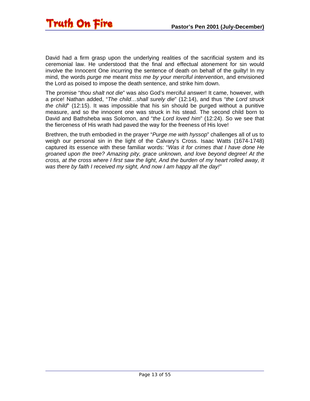

David had a firm grasp upon the underlying realities of the sacrificial system and its ceremonial law. He understood that the final and effectual atonement for sin would involve the Innocent One incurring the sentence of death on behalf of the guilty! In my mind, the words *purge me* meant *miss me by your merciful intervention*, and envisioned the Lord as poised to impose the death sentence, and strike him down.

The promise "*thou shalt not die*" was also God's merciful answer! It came, however, with a price! Nathan added, "*The child…shall surely die*" (12:14), and thus "*the Lord struck the child*" (12:15). It was impossible that his sin should be purged without a punitive measure, and so the innocent one was struck in his stead. The second child born to David and Bathsheba was Solomon, and "*the Lord loved him*" (12:24). So we see that the fierceness of His wrath had paved the way for the freeness of His love!

Brethren, the truth embodied in the prayer "*Purge me with hyssop*" challenges all of us to weigh our personal sin in the light of the Calvary's Cross. Isaac Watts (1674-1748) captured its essence with these familiar words: "*Was it for crimes that I have done He groaned upon the tree? Amazing pity, grace unknown, and love beyond degree! At the cross, at the cross where I first saw the light, And the burden of my heart rolled away, It was there by faith I received my sight, And now I am happy all the day!"*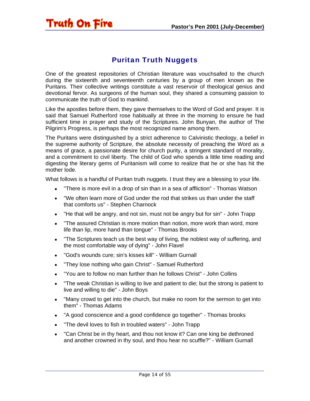#### Puritan Truth Nuggets

<span id="page-13-0"></span>Truth On Fire

One of the greatest repositories of Christian literature was vouchsafed to the church during the sixteenth and seventeenth centuries by a group of men known as the Puritans. Their collective writings constitute a vast reservoir of theological genius and devotional fervor. As surgeons of the human soul, they shared a consuming passion to communicate the truth of God to mankind.

Like the apostles before them, they gave themselves to the Word of God and prayer. It is said that Samuel Rutherford rose habitually at three in the morning to ensure he had sufficient time in prayer and study of the Scriptures. John Bunyan, the author of The Pilgrim's Progress, is perhaps the most recognized name among them.

The Puritans were distinguished by a strict adherence to Calvinistic theology, a belief in the supreme authority of Scripture, the absolute necessity of preaching the Word as a means of grace, a passionate desire for church purity, a stringent standard of morality, and a commitment to civil liberty. The child of God who spends a little time reading and digesting the literary gems of Puritanism will come to realize that he or she has hit the mother lode.

What follows is a handful of Puritan truth nuggets. I trust they are a blessing to your life.

- "There is more evil in a drop of sin than in a sea of affliction" Thomas Watson
- "We often learn more of God under the rod that strikes us than under the staff that comforts us" - Stephen Charnock
- "He that will be angry, and not sin, must not be angry but for sin" John Trapp
- "The assured Christian is more motion than notion, more work than word, more life than lip, more hand than tongue" - Thomas Brooks
- "The Scriptures teach us the best way of living, the noblest way of suffering, and the most comfortable way of dying" - John Flavel
- "God's wounds cure; sin's kisses kill" William Gurnall
- "They lose nothing who gain Christ" Samuel Rutherford
- "You are to follow no man further than he follows Christ" John Collins
- "The weak Christian is willing to live and patient to die; but the strong is patient to live and willing to die" - John Boys
- "Many crowd to get into the church, but make no room for the sermon to get into them" - Thomas Adams
- "A good conscience and a good confidence go together" Thomas brooks
- "The devil loves to fish in troubled waters" John Trapp
- "Can Christ be in thy heart, and thou not know it? Can one king be dethroned and another crowned in thy soul, and thou hear no scuffle?" - William Gurnall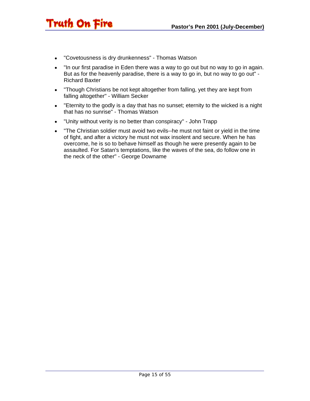• "Covetousness is dry drunkenness" - Thomas Watson

Truth On Fire

- "In our first paradise in Eden there was a way to go out but no way to go in again. But as for the heavenly paradise, there is a way to go in, but no way to go out" - Richard Baxter
- "Though Christians be not kept altogether from falling, yet they are kept from falling altogether" - William Secker
- "Eternity to the godly is a day that has no sunset; eternity to the wicked is a night that has no sunrise" - Thomas Watson
- "Unity without verity is no better than conspiracy" John Trapp
- "The Christian soldier must avoid two evils--he must not faint or yield in the time of fight, and after a victory he must not wax insolent and secure. When he has overcome, he is so to behave himself as though he were presently again to be assaulted. For Satan's temptations, like the waves of the sea, do follow one in the neck of the other" - George Downame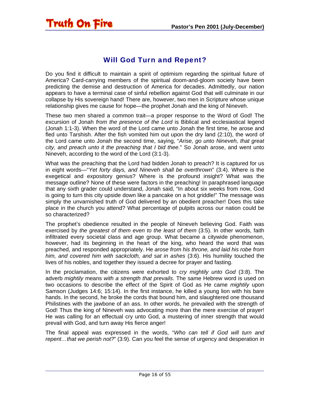#### Will God Turn and Repent?

<span id="page-15-0"></span>**Truth On Fire** 

Do you find it difficult to maintain a spirit of optimism regarding the spiritual future of America? Card-carrying members of the spiritual doom-and-gloom society have been predicting the demise and destruction of America for decades. Admittedly, our nation appears to have a terminal case of sinful rebellion against God that will culminate in our collapse by His sovereign hand! There are, however, two men in Scripture whose unique relationship gives me cause for hope—the prophet Jonah and the king of Nineveh.

These two men shared a common trait—a proper response to the Word of God! The excursion of Jonah *from the presence of the Lord* is Biblical and ecclesiastical legend (Jonah 1:1-3). When the word of the Lord came unto Jonah the first time, he arose and fled unto Tarshish. After the fish vomited him out upon the dry land (2:10), the word of the Lord came unto Jonah the second time, saying, "*Arise, go unto Nineveh, that great city, and preach unto it the preaching that I bid thee.*" So Jonah arose, and went unto Nineveh, according to the word of the Lord (3:1-3).

What was the preaching that the Lord had bidden Jonah to preach? It is captured for us in eight words—"*Yet forty days, and Nineveh shall be overthrown*" (3:4). Where is the exegetical and expository genius? Where is the profound insight? What was the message outline? None of these were factors in the preaching! In paraphrased language that any sixth grader could understand, Jonah said, "In about six weeks from now, God is going to turn this city upside down like a pancake on a hot griddle!" The message was simply the unvarnished truth of God delivered by an obedient preacher! Does this take place in the church you attend? What percentage of pulpits across our nation could be so characterized?

The prophet's obedience resulted in the people of Nineveh believing God. Faith was exercised by *the greatest of them even to the least of them* (3:5). In other words, faith infiltrated every societal class and age group. What became a citywide phenomenon, however, had its beginning in the heart of the king, who heard the word that was preached, and responded appropriately. He *arose from his throne, and laid his robe from him, and covered him with sackcloth, and sat in ashes* (3:6). His humility touched the lives of his nobles, and together they issued a decree for prayer and fasting.

In the proclamation, the citizens were exhorted to *cry mightily unto God* (3:8). The adverb *mightily* means *with a strength that prevails*. The same Hebrew word is used on two occasions to describe the effect of the Spirit of God as He came *mightily* upon Samson (Judges 14:6; 15:14). In the first instance, he killed a young lion with his bare hands. In the second, he broke the cords that bound him, and slaughtered one thousand Philistines with the jawbone of an ass. In other words, he prevailed with the strength of God! Thus the king of Nineveh was advocating more than the mere exercise of prayer! He was calling for an effectual cry unto God, a mustering of inner strength that would prevail with God, and turn away His fierce anger!

The final appeal was expressed in the words, "*Who can tell if God will turn and repent…that we perish not?*" (3:9). Can you feel the sense of urgency and desperation in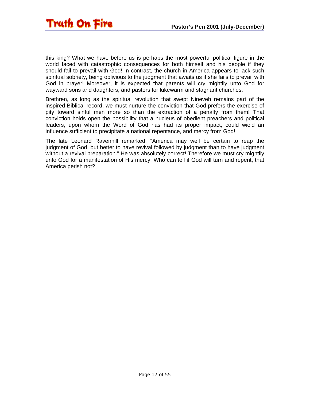

this king? What we have before us is perhaps the most powerful political figure in the world faced with catastrophic consequences for both himself and his people if they should fail to prevail with God! In contrast, the church in America appears to lack such spiritual sobriety, being oblivious to the judgment that awaits us if she fails to prevail with God in prayer! Moreover, it is expected that parents will cry mightily unto God for wayward sons and daughters, and pastors for lukewarm and stagnant churches.

Brethren, as long as the spiritual revolution that swept Nineveh remains part of the inspired Biblical record, we must nurture the conviction that God prefers the exercise of pity toward sinful men more so than the extraction of a penalty from them! That conviction holds open the possibility that a nucleus of obedient preachers and political leaders, upon whom the Word of God has had its proper impact, could wield an influence sufficient to precipitate a national repentance, and mercy from God!

The late Leonard Ravenhill remarked, "America may well be certain to reap the judgment of God, but better to have revival followed by judgment than to have judgment without a revival preparation." He was absolutely correct! Therefore we must cry mightily unto God for a manifestation of His mercy! Who can tell if God will turn and repent, that America perish not?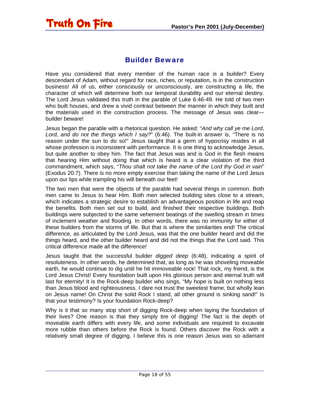<span id="page-17-0"></span>

#### Builder Beware

Have you considered that every member of the human race is a builder? Every descendant of Adam, without regard for race, riches, or reputation, is in the construction business! All of us, either consciously or unconsciously, are constructing a life, the character of which will determine both our temporal durability and our eternal destiny. The Lord Jesus validated this truth in the parable of Luke 6:46-49. He told of two men who built houses, and drew a vivid contrast between the manner in which they built and the materials used in the construction process. The message of Jesus was clear builder beware!

Jesus began the parable with a rhetorical question. He asked: "*And why call ye me Lord, Lord, and do not the things which I say?*" (6:46). The built-in answer is, "There is no reason under the sun to do so!" Jesus taught that a germ of hypocrisy resides in all whose profession is inconsistent with performance. It is one thing to acknowledge Jesus, but quite another to obey him. The fact that Jesus was and is God in the flesh means that hearing Him without doing that which is heard is a clear violation of the third commandment, which says, "*Thou shalt not take the name of the Lord thy God in vain*" (Exodus 20:7). There is no more empty exercise than taking the name of the Lord Jesus upon our lips while trampling his will beneath our feet!

The two men that were the objects of the parable had several things in common. Both men came to Jesus to hear Him. Both men selected building sites close to a stream, which indicates a strategic desire to establish an advantageous position in life and reap the benefits. Both men set out to build, and finished their respective buildings. Both buildings were subjected to the same vehement beatings of the swelling stream in times of inclement weather and flooding. In other words, there was no immunity for either of these builders from the storms of life. But that is where the similarities end! The critical difference, as articulated by the Lord Jesus, was that the one builder heard and did the things heard, and the other builder heard and did not the things that the Lord said. This critical difference made all the difference!

Jesus taught that the successful builder *digged deep* (6:48), indicating a spirit of resoluteness. In other words, he determined that, as long as he was shoveling moveable earth, he would continue to dig until he hit immoveable rock! That rock, my friend, is the Lord Jesus Christ! Every foundation built upon His glorious person and eternal truth will last for eternity! It is the Rock-deep builder who sings, "My hope is built on nothing less than Jesus blood and righteousness. I dare not trust the sweetest frame, but wholly lean on Jesus name! On Christ the solid Rock I stand, all other ground is sinking sand!" Is that your testimony? Is your foundation Rock-deep?

Why is it that so many stop short of digging Rock-deep when laying the foundation of their lives? One reason is that they simply tire of digging! The fact is the depth of moveable earth differs with every life, and some individuals are required to excavate more rubble than others before the Rock is found. Others discover the Rock with a relatively small degree of digging. I believe this is one reason Jesus was so adamant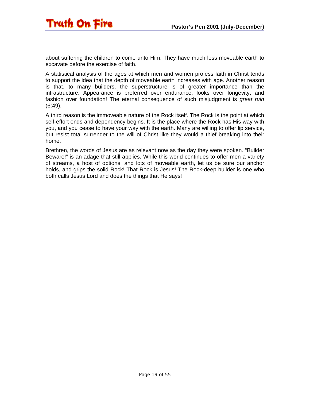about suffering the children to come unto Him. They have much less moveable earth to excavate before the exercise of faith.

A statistical analysis of the ages at which men and women profess faith in Christ tends to support the idea that the depth of moveable earth increases with age. Another reason is that, to many builders, the superstructure is of greater importance than the infrastructure. Appearance is preferred over endurance, looks over longevity, and fashion over foundation! The eternal consequence of such misjudgment is *great ruin* (6:49).

A third reason is the immoveable nature of the Rock itself. The Rock is the point at which self-effort ends and dependency begins. It is the place where the Rock has His way with you, and you cease to have your way with the earth. Many are willing to offer lip service, but resist total surrender to the will of Christ like they would a thief breaking into their home.

Brethren, the words of Jesus are as relevant now as the day they were spoken. "Builder Beware!" is an adage that still applies. While this world continues to offer men a variety of streams, a host of options, and lots of moveable earth, let us be sure our anchor holds, and grips the solid Rock! That Rock is Jesus! The Rock-deep builder is one who both calls Jesus Lord and does the things that He says!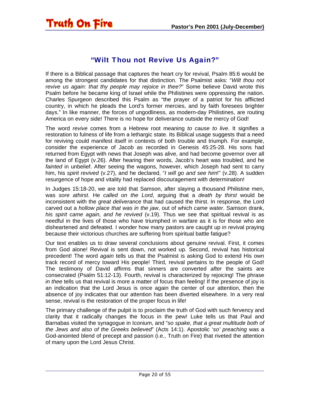#### "Wilt Thou not Revive Us Again?"

<span id="page-19-0"></span>If there is a Biblical passage that captures the heart cry for revival, Psalm 85:6 would be among the strongest candidates for that distinction. The Psalmist asks: "*Wilt thou not revive us again: that thy people may rejoice in thee?*" Some believe David wrote this Psalm before he became king of Israel while the Philistines were oppressing the nation. Charles Spurgeon described this Psalm as "the prayer of a patriot for his afflicted country, in which he pleads the Lord's former mercies, and by faith foresees brighter days." In like manner, the forces of ungodliness, as modern-day Philistines, are routing America on every side! There is no hope for deliverance outside the mercy of God!

The word *revive* comes from a Hebrew root meaning *to cause to live*. It signifies a restoration to fulness of life from a lethargic state. Its Biblical usage suggests that a need for reviving could manifest itself in contexts of both trouble and triumph. For example, consider the experience of Jacob as recorded in Genesis 45:25-28. His sons had returned from Egypt with news that Joseph was alive, and had become governor over all the land of Egypt (v.26). After hearing their words, Jacob's heart was troubled, and he *fainted* in unbelief. After seeing the wagons, however, which Joseph had sent to carry him, his *spirit revived* (v.27), and he declared, "*I will go and see him*!" (v.28). A sudden resurgence of hope and vitality had replaced discouragement with determination!

In Judges 15:18-20, we are told that Samson, after slaying a thousand Philistine men, was *sore athirst*. He *called on the Lord*, arguing that a *death by thirst* would be inconsistent with the *great deliverance* that had caused the thirst. In response, the Lord carved out a *hollow place that was in the jaw*, out of which *came water*. Samson drank, *his spirit came again, and he revived* (v.19). Thus we see that spiritual revival is as needful in the lives of those who have triumphed in warfare as it is for those who are disheartened and defeated. I wonder how many pastors are caught up in revival praying because their victorious churches are suffering from spiritual battle fatigue?

Our text enables us to draw several conclusions about genuine revival. First, it comes from God alone! Revival is sent down, not worked up. Second, revival has historical precedent! The word *again* tells us that the Psalmist is asking God to extend His own track record of mercy toward His people! Third, revival pertains to the people of God! The testimony of David affirms that sinners are converted *after* the saints are consecrated (Psalm 51:12-13). Fourth, revival is characterized by rejoicing! The phrase *in thee* tells us that revival is more a matter of focus than feeling! If the presence of joy is an indication that the Lord Jesus is once again the center of our attention, then the absence of joy indicates that our attention has been diverted elsewhere. In a very real sense, revival is the restoration of the proper focus in life!

The primary challenge of the pulpit is to proclaim the truth of God with such fervency and clarity that it radically changes the focus in the pew! Luke tells us that Paul and Barnabas visited the synagogue in Iconium, and "*so spake, that a great multitude both of the Jews and also of the Greeks believed*" (Acts 14:1). Apostolic '*so' preaching* was a God-anointed blend of precept and passion (i.e., Truth on Fire) that riveted the attention of many upon the Lord Jesus Christ.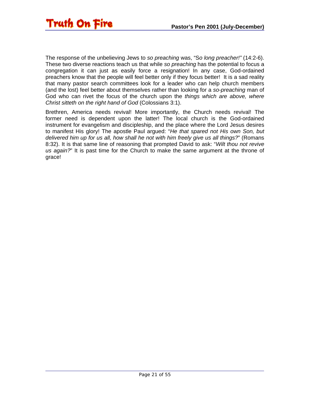

The response of the unbelieving Jews to *so preaching* was, "S*o long preacher!"* (14:2-6). These two diverse reactions teach us that while *so preaching* has the potential to focus a congregation it can just as easily force a resignation! In any case, God-ordained preachers know that the people will feel better only if they focus better! It is a sad reality that many pastor search committees look for a leader who can help church members (and the lost) feel better about themselves rather than looking for a *so-preaching* man of God who can rivet the focus of the church upon the *things which are above, where Christ sitteth on the right hand of God* (Colossians 3:1).

Brethren, America needs revival! More importantly, the Church needs revival! The former need is dependent upon the latter! The local church is the God-ordained instrument for evangelism and discipleship, and the place where the Lord Jesus desires to manifest His glory! The apostle Paul argued: "*He that spared not His own Son, but delivered him up for us all, how shall he not with him freely give us all things?*" (Romans 8:32). It is that same line of reasoning that prompted David to ask: "*Wilt thou not revive us again?*" It is past time for the Church to make the same argument at the throne of grace!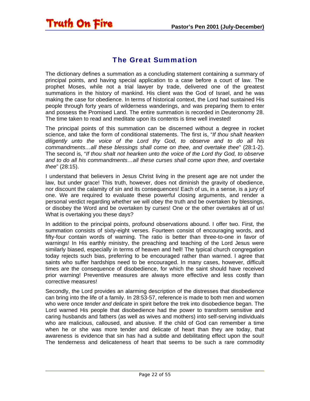

<span id="page-21-0"></span>**Truth On Fire** 

#### The Great Summation

The dictionary defines a summation as a concluding statement containing a summary of principal points, and having special application to a case before a court of law. The prophet Moses, while not a trial lawyer by trade, delivered one of the greatest summations in the history of mankind. His client was the God of Israel, and he was making the case for obedience. In terms of historical context, the Lord had sustained His people through forty years of wilderness wanderings, and was preparing them to enter and possess the Promised Land. The entire summation is recorded in Deuteronomy 28. The time taken to read and meditate upon its contents is time well invested!

The principal points of this summation can be discerned without a degree in rocket science, and take the form of conditional statements. The first is, "*If thou shalt hearken diligently unto the voice of the Lord thy God, to observe and to do all his commandments…all these blessings shall come on thee, and overtake thee*" (28:1-2). The second is, "*If thou shalt not hearken unto the voice of the Lord thy God, to observe and to do all his commandments…all these curses shall come upon thee, and overtake thee*" (28:15).

I understand that believers in Jesus Christ living in the present age are not under the law, but under grace! This truth, however, does not diminish the gravity of obedience, nor discount the calamity of sin and its consequences! Each of us, in a sense, is a jury of one. We are required to evaluate these powerful closing arguments, and render a personal verdict regarding whether we will obey the truth and be overtaken by blessings, or disobey the Word and be overtaken by curses! One or the other overtakes all of us! What is overtaking you these days?

In addition to the principal points, profound observations abound. I offer two. First, the summation consists of sixty-eight verses. Fourteen consist of encouraging words, and fifty-four contain words of warning. The ratio is better than three-to-one in favor of warnings! In His earthly ministry, the preaching and teaching of the Lord Jesus were similarly biased, especially in terms of heaven and hell! The typical church congregation today rejects such bias, preferring to be encouraged rather than warned. I agree that saints who suffer hardships need to be encouraged. In many cases, however, difficult times are the consequence of disobedience, for which the saint should have received prior warning! Preventive measures are always more effective and less costly than corrective measures!

Secondly, the Lord provides an alarming description of the distresses that disobedience can bring into the life of a family. In 28:53-57, reference is made to both men and women who were once *tender and delicate* in spirit before the trek into disobedience began. The Lord warned His people that disobedience had the power to transform sensitive and caring husbands and fathers (as well as wives and mothers) into self-serving individuals who are malicious, calloused, and abusive. If the child of God can remember a time when he or she was more tender and delicate of heart than they are today, that awareness is evidence that sin has had a subtle and debilitating effect upon the soul! The tenderness and delicateness of heart that seems to be such a rare commodity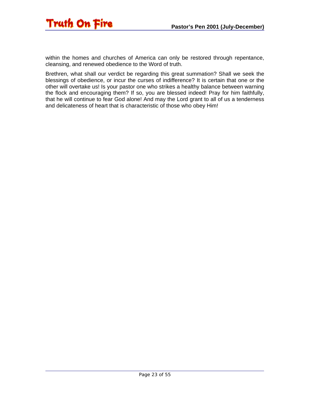

within the homes and churches of America can only be restored through repentance, cleansing, and renewed obedience to the Word of truth.

Brethren, what shall our verdict be regarding this great summation? Shall we seek the blessings of obedience, or incur the curses of indifference? It is certain that one or the other will overtake us! Is your pastor one who strikes a healthy balance between warning the flock and encouraging them? If so, you are blessed indeed! Pray for him faithfully, that he will continue to fear God alone! And may the Lord grant to all of us a tenderness and delicateness of heart that is characteristic of those who obey Him!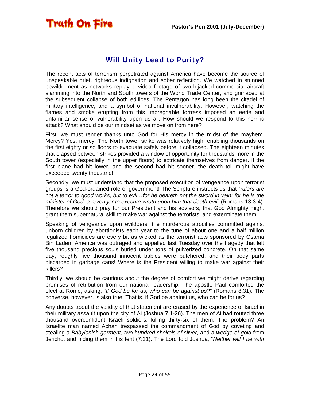# Will Unity Lead to Purity?

<span id="page-23-0"></span>Truth On Fire

The recent acts of terrorism perpetrated against America have become the source of unspeakable grief, righteous indignation and sober reflection. We watched in stunned bewilderment as networks replayed video footage of two hijacked commercial aircraft slamming into the North and South towers of the World Trade Center, and grimaced at the subsequent collapse of both edifices. The Pentagon has long been the citadel of military intelligence, and a symbol of national invulnerability. However, watching the flames and smoke erupting from this impregnable fortress imposed an eerie and unfamiliar sense of vulnerability upon us all. How should we respond to this horrific attack? What should be our mindset as we move on from here?

First, we must render thanks unto God for His mercy in the midst of the mayhem. Mercy? Yes, mercy! The North tower strike was relatively high, enabling thousands on the first eighty or so floors to evacuate safely before it collapsed. The eighteen minutes that elapsed between strikes provided a window of opportunity for thousands more in the South tower (especially in the upper floors) to extricate themselves from danger. If the first plane had hit lower, and the second had hit sooner, the death toll might have exceeded twenty thousand!

Secondly, we must understand that the proposed execution of vengeance upon terrorist groups is a God-ordained role of government! The Scripture instructs us that "*rulers are*  not a terror to good works, but to evil...for he beareth not the sword in vain: for he is the *minister of God, a revenger to execute wrath upon him that doeth evil*" (Romans 13:3-4). Therefore we should pray for our President and his advisors, that God Almighty might grant them supernatural skill to make war against the terrorists, and exterminate them!

Speaking of vengeance upon evildoers, the murderous atrocities committed against unborn children by abortionists each year to the tune of about one and a half million legalized homicides are every bit as wicked as the terrorist acts sponsored by Osama Bin Laden. America was outraged and appalled last Tuesday over the tragedy that left five thousand precious souls buried under tons of pulverized concrete. On that same day, roughly five thousand innocent babies were butchered, and their body parts discarded in garbage cans! Where is the President willing to make war against their killers?

Thirdly, we should be cautious about the degree of comfort we might derive regarding promises of retribution from our national leadership. The apostle Paul comforted the elect at Rome, asking, "*If God be for us, who can be against us?*" (Romans 8:31). The converse, however, is also true. That is, if God be against us, who can be for us?

Any doubts about the validity of that statement are erased by the experience of Israel in their military assault upon the city of Ai (Joshua 7:1-26). The men of Ai had routed three thousand overconfident Israeli soldiers, killing thirty-six of them. The problem? An Israelite man named Achan trespassed the commandment of God by coveting and stealing a *Babylonish garment*, *two hundred shekels of silver*, and a *wedge of gold* from Jericho, and hiding them in his tent (7:21). The Lord told Joshua, "*Neither will I be with*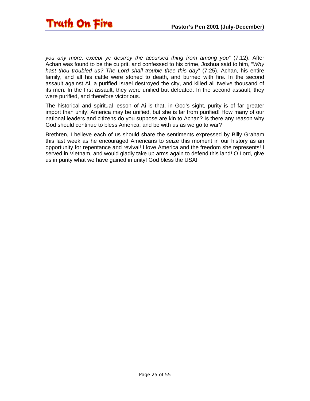

*you any more, except ye destroy the accursed thing from among you*" (7:12). After Achan was found to be the culprit, and confessed to his crime, Joshua said to him, "*Why hast thou troubled us? The Lord shall trouble thee this day*" (7:25). Achan, his entire family, and all his cattle were stoned to death, and burned with fire. In the second assault against Ai, a purified Israel destroyed the city, and killed all twelve thousand of its men. In the first assault, they were unified but defeated. In the second assault, they were purified, and therefore victorious.

The historical and spiritual lesson of Ai is that, in God's sight, purity is of far greater import than unity! America may be unified, but she is far from purified! How many of our national leaders and citizens do you suppose are kin to Achan? Is there any reason why God should continue to bless America, and be with us as we go to war?

Brethren, I believe each of us should share the sentiments expressed by Billy Graham this last week as he encouraged Americans to seize this moment in our history as an opportunity for repentance and revival! I love America and the freedom she represents! I served in Vietnam, and would gladly take up arms again to defend this land! O Lord, give us in purity what we have gained in unity! God bless the USA!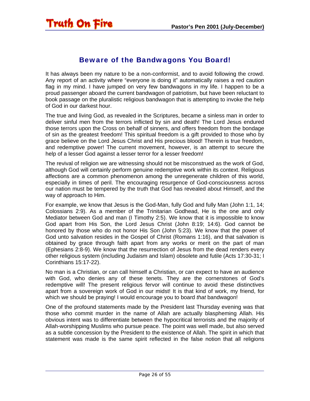#### Beware of the Bandwagons You Board!

<span id="page-25-0"></span>It has always been my nature to be a non-conformist, and to avoid following the crowd. Any report of an activity where "everyone is doing it" automatically raises a red caution flag in my mind. I have jumped on very few bandwagons in my life. I happen to be a proud passenger aboard the current bandwagon of patriotism, but have been reluctant to book passage on the pluralistic religious bandwagon that is attempting to invoke the help of God in our darkest hour.

The true and living God, as revealed in the Scriptures, became a sinless man in order to deliver sinful men from the terrors inflicted by sin and death! The Lord Jesus endured those terrors upon the Cross on behalf of sinners, and offers freedom from the bondage of sin as the greatest freedom! This spiritual freedom is a gift provided to those who by grace believe on the Lord Jesus Christ and His precious blood! Therein is true freedom, and redemptive power! The current movement, however, is an attempt to secure the help of a lesser God against a lesser terror for a lesser freedom!

The revival of religion we are witnessing should not be misconstrued as the work of God, although God will certainly perform genuine redemptive work within its context. Religious affections are a common phenomenon among the unregenerate children of this world, especially in times of peril. The encouraging resurgence of God-consciousness across our nation must be tempered by the truth that God has revealed about Himself, and the way of approach to Him.

For example, we know that Jesus is the God-Man, fully God and fully Man (John 1:1, 14; Colossians 2:9). As a member of the Trinitarian Godhead, He is the one and only Mediator between God and man (I Timothy 2:5). We know that it is impossible to know God apart from His Son, the Lord Jesus Christ (John 8:19; 14:6). God cannot be honored by those who do not honor His Son (John 5:23). We know that the power of God unto salvation resides in the Gospel of Christ (Romans 1:16), and that salvation is obtained by grace through faith apart from any works or merit on the part of man (Ephesians 2:8-9). We know that the resurrection of Jesus from the dead renders every other religious system (including Judaism and Islam) obsolete and futile (Acts 17:30-31; I Corinthians 15:17-22).

No man is a Christian, or can call himself a Christian, or can expect to have an audience with God, who denies any of these tenets. They are the cornerstones of God's redemptive will! The present religious fervor will continue to avoid these distinctives apart from a sovereign work of God in our midst! It is that kind of work, my friend, for which we should be praying! I would encourage you to board *that* bandwagon!

One of the profound statements made by the President last Thursday evening was that those who commit murder in the name of Allah are actually blaspheming Allah. His obvious intent was to differentiate between the hypocritical terrorists and the majority of Allah-worshipping Muslims who pursue peace. The point was well made, but also served as a subtle concession by the President to the existence of Allah. The spirit in which that statement was made is the same spirit reflected in the false notion that all religions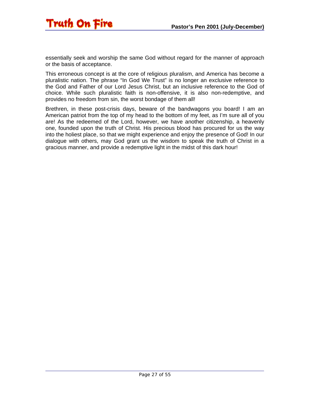

essentially seek and worship the same God without regard for the manner of approach or the basis of acceptance.

This erroneous concept is at the core of religious pluralism, and America has become a pluralistic nation. The phrase "In God We Trust" is no longer an exclusive reference to the God and Father of our Lord Jesus Christ, but an inclusive reference to the God of choice. While such pluralistic faith is non-offensive, it is also non-redemptive, and provides no freedom from sin, the worst bondage of them all!

Brethren, in these post-crisis days, beware of the bandwagons you board! I am an American patriot from the top of my head to the bottom of my feet, as I'm sure all of you are! As the redeemed of the Lord, however, we have another citizenship, a heavenly one, founded upon the truth of Christ. His precious blood has procured for us the way into the holiest place, so that we might experience and enjoy the presence of God! In our dialogue with others, may God grant us the wisdom to speak the truth of Christ in a gracious manner, and provide a redemptive light in the midst of this dark hour!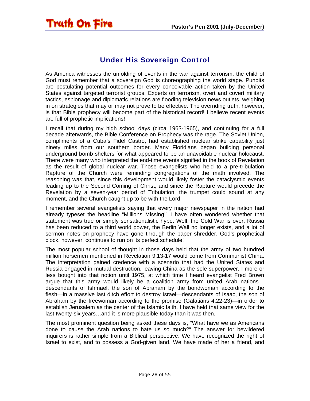### <span id="page-27-0"></span>**Truth On Fire**

#### Under His Sovereign Control

As America witnesses the unfolding of events in the war against terrorism, the child of God must remember that a sovereign God is choreographing the world stage. Pundits are postulating potential outcomes for every conceivable action taken by the United States against targeted terrorist groups. Experts on terrorism, overt and covert military tactics, espionage and diplomatic relations are flooding television news outlets, weighing in on strategies that may or may not prove to be effective. The overriding truth, however, is that Bible prophecy will become part of the historical record! I believe recent events are full of prophetic implications!

I recall that during my high school days (circa 1963-1965), and continuing for a full decade afterwards, the Bible Conference on Prophecy was the rage. The Soviet Union, compliments of a Cuba's Fidel Castro, had established nuclear strike capability just ninety miles from our southern border. Many Floridians began building personal underground bomb shelters for what appeared to be an unavoidable nuclear holocaust. There were many who interpreted the end-time events signified in the book of Revelation as the result of global nuclear war. Those evangelists who held to a pre-tribulation Rapture of the Church were reminding congregations of the math involved. The reasoning was that, since this development would likely foster the cataclysmic events leading up to the Second Coming of Christ, and since the Rapture would precede the Revelation by a seven-year period of Tribulation, the trumpet could sound at any moment, and the Church caught up to be with the Lord!

I remember several evangelists saying that every major newspaper in the nation had already typeset the headline "Millions Missing!" I have often wondered whether that statement was true or simply sensationalistic hype. Well, the Cold War is over, Russia has been reduced to a third world power, the Berlin Wall no longer exists, and a lot of sermon notes on prophecy have gone through the paper shredder. God's prophetical clock, however, continues to run on its perfect schedule!

The most popular school of thought in those days held that the army of two hundred million horsemen mentioned in Revelation 9:13-17 would come from Communist China. The interpretation gained credence with a scenario that had the United States and Russia engaged in mutual destruction, leaving China as the sole superpower. I more or less bought into that notion until 1975, at which time I heard evangelist Fred Brown argue that this army would likely be a coalition army from united Arab nations descendants of Ishmael, the son of Abraham by the bondwoman according to the flesh—in a massive last ditch effort to destroy Israel—descendants of Isaac, the son of Abraham by the freewoman according to the promise (Galatians 4:22-23)—in order to establish Jerusalem as the center of the Islamic faith. I have held that same view for the last twenty-six years…and it is more plausible today than it was then.

The most prominent question being asked these days is, "What have we as Americans done to cause the Arab nations to hate us so much?" The answer for bewildered inquirers is rather simple from a Biblical perspective. We have recognized the right of Israel to exist, and to possess a God-given land. We have made of her a friend, and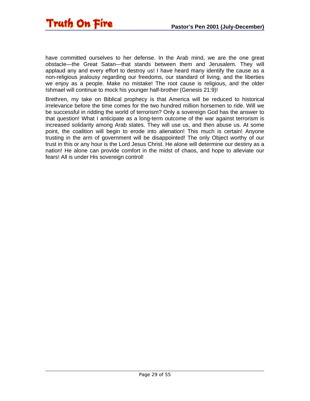

have committed ourselves to her defense. In the Arab mind, we are the one great obstacle—the Great Satan—that stands between them and Jerusalem. They will applaud any and every effort to destroy us! I have heard many identify the cause as a non-religious jealousy regarding our freedoms, our standard of living, and the liberties we enjoy as a people. Make no mistake! The root cause is religious, and the older Ishmael will continue to mock his younger half-brother (Genesis 21:9)!

Brethren, my take on Biblical prophecy is that America will be reduced to historical irrelevance before the time comes for the two hundred million horsemen to ride. Will we be successful in ridding the world of terrorism? Only a sovereign God has the answer to that question! What I anticipate as a long-term outcome of the war against terrorism is increased solidarity among Arab states. They will use us, and then abuse us. At some point, the coalition will begin to erode into alienation! This much is certain! Anyone trusting in the arm of government will be disappointed! The only Object worthy of our trust in this or any hour is the Lord Jesus Christ. He alone will determine our destiny as a nation! He alone can provide comfort in the midst of chaos, and hope to alleviate our fears! All is under His sovereign control!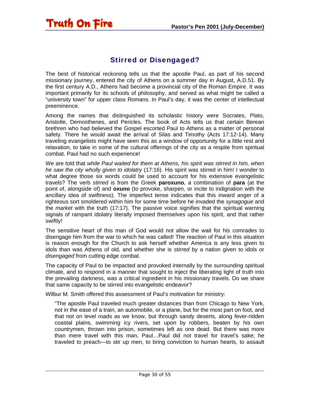#### Stirred or Disengaged?

<span id="page-29-0"></span>**Truth On Fire** 

The best of historical reckoning tells us that the apostle Paul, as part of his second missionary journey, entered the city of Athens on a summer day in August, A.D.51. By the first century A.D., Athens had become a provincial city of the Roman Empire. It was important primarily for its schools of philosophy, and served as what might be called a "university town" for upper class Romans. In Paul's day, it was the center of intellectual preeminence.

Among the names that distinguished its scholastic history were Socrates, Plato, Aristotle, Demosthenes, and Pericles. The book of Acts tells us that certain Berean brethren who had believed the Gospel escorted Paul to Athens as a matter of personal safety. There he would await the arrival of Silas and Timothy (Acts 17:12-14). Many traveling evangelists might have seen this as a window of opportunity for a little rest and relaxation, to take in some of the cultural offerings of the city as a respite from spiritual combat. Paul had no such experience!

We are told that *while Paul waited for them at Athens, his spirit was stirred in him, when he saw the city wholly given to idolatry* (17:16). His spirit was stirred in him! I wonder to what degree those six words could be used to account for his extensive evangelistic travels? The verb *stirred* is from the Greek **paroxuno**, a combination of **para** (at the point of, alongside of) and **oxuno** (to provoke, sharpen, or incite to indignation with the ancillary idea of swiftness). The imperfect tense indicates that this inward anger of a righteous sort smoldered within him for some time before he invaded the *synagogue* and the *market* with the truth (17:17). The passive voice signifies that the spiritual warning signals of rampant idolatry literally imposed themselves upon his spirit, and that rather swiftly!

The sensitive heart of this man of God would not allow the wait for his comrades to disengage him from the war to which he was called! The reaction of Paul in this situation is reason enough for the Church to ask herself whether America is any less given to idols than was Athens of old, and whether she is *stirred* by a nation given to idols or *disengaged* from cutting edge combat.

The capacity of Paul to be impacted and provoked internally by the surrounding spiritual climate, and to respond in a manner that sought to inject the liberating light of truth into the prevailing darkness, was a critical ingredient in his missionary travels. Do we share that same capacity to be stirred into evangelistic endeavor?

Wilbur M. Smith offered this assessment of Paul's motivation for ministry:

"The apostle Paul traveled much greater distances than from Chicago to New York, not in the ease of a train, an automobile, or a plane, but for the most part on foot, and that not on level roads as we know, but through sandy deserts, along fever-ridden coastal plains, swimming icy rivers, set upon by robbers, beaten by his own countrymen, thrown into prison, sometimes left as one dead. But there was more than mere travel with this man, Paul…Paul did not travel for travel's sake; he traveled to preach—to stir up men, to bring conviction to human hearts, to assault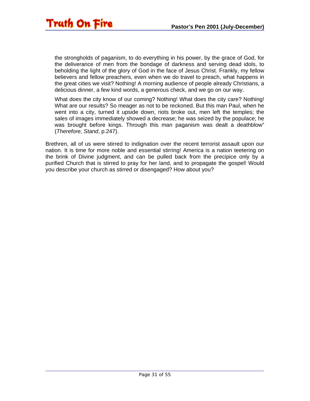the strongholds of paganism, to do everything in his power, by the grace of God, for the deliverance of men from the bondage of darkness and serving dead idols, to beholding the light of the glory of God in the face of Jesus Christ. Frankly, my fellow believers and fellow preachers, even when we do travel to preach, what happens in the great cities we visit? Nothing! A morning audience of people already Christians, a delicious dinner, a few kind words, a generous check, and we go on our way.

What does the city know of our coming? Nothing! What does the city care? Nothing! What are our results? So meager as not to be reckoned. But this man Paul, when he went into a city, turned it upside down, riots broke out, men left the temples; the sales of images immediately showed a decrease; he was seized by the populace; he was brought before kings. Through this man paganism was dealt a deathblow" (*Therefore, Stand*, p.247).

Brethren, all of us were stirred to indignation over the recent terrorist assault upon our nation. It is time for more noble and essential stirring! America is a nation teetering on the brink of Divine judgment, and can be pulled back from the precipice only by a purified Church that is stirred to pray for her land, and to propagate the gospel! Would you describe your church as stirred or disengaged? How about you?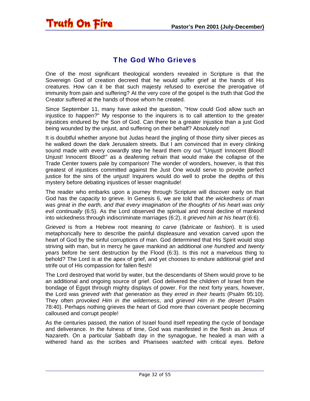#### The God Who Grieves

<span id="page-31-0"></span>Truth On Fire

One of the most significant theological wonders revealed in Scripture is that the Sovereign God of creation decreed that he would suffer grief at the hands of His creatures. How can it be that such majesty refused to exercise the prerogative of immunity from pain and suffering? At the very core of the gospel is the truth that God the Creator suffered at the hands of those whom he created.

Since September 11, many have asked the question, "How could God allow such an injustice to happen?" My response to the inquirers is to call attention to the greater injustices endured by the Son of God. Can there be a greater injustice than a just God being wounded by the unjust, and suffering on their behalf? Absolutely not!

It is doubtful whether anyone but Judas heard the jingling of those thirty silver pieces as he walked down the dark Jerusalem streets. But I am convinced that in every clinking sound made with every cowardly step he heard them cry out "Unjust! Innocent Blood! Unjust! Innocent Blood!" as a deafening refrain that would make the collapse of the Trade Center towers pale by comparison! The wonder of wonders, however, is that this greatest of injustices committed against the Just One would serve to provide perfect justice for the sins of the unjust! Inquirers would do well to probe the depths of this mystery before debating injustices of lesser magnitude!

The reader who embarks upon a journey through Scripture will discover early on that God has the capacity to grieve. In Genesis 6, we are told that *the wickedness of man was great in the earth, and that every imagination of the thoughts of his heart was only evil continually* (6:5). As the Lord observed the spiritual and moral decline of mankind into wickedness through indiscriminate marriages (6:2), it *grieved him at his heart* (6:6).

*Grieved* is from a Hebrew root meaning *to carve* (*fabricate* or *fashion*). It is used metaphorically here to describe the painful displeasure and vexation carved upon the heart of God by the sinful corruptions of man. God determined that His Spirit would stop striving with man, but in mercy he gave mankind an additional *one hundred and twenty years* before he sent destruction by the Flood (6:3). Is this not a marvelous thing to behold? The Lord is at the apex of grief, and yet chooses to endure additional grief and strife out of His compassion for fallen flesh!

The Lord destroyed that world by water, but the descendants of Shem would prove to be an additional and ongoing source of grief. God delivered the children of Israel from the bondage of Egypt through mighty displays of power. For the next forty years, however, the Lord was *grieved with that generation* as they *erred in their hearts* (Psalm 95:10). They often *provoked Him in the wilderness*, and *grieved Him in the desert* (Psalm 78:40). Perhaps nothing grieves the heart of God more than covenant people becoming calloused and corrupt people!

As the centuries passed, the nation of Israel found itself repeating the cycle of bondage and deliverance. In the fulness of time, God was manifested in the flesh as Jesus of Nazareth. On a particular Sabbath day in the synagogue, he healed a man with a withered hand as the scribes and Pharisees *watched* with critical eyes. Before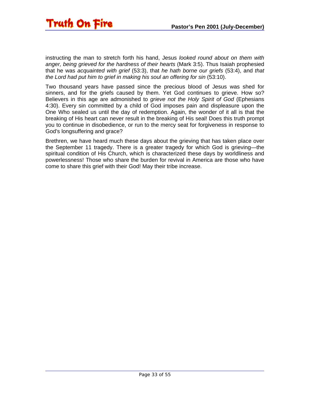

instructing the man to stretch forth his hand, Jesus *looked round about on them with anger, being grieved for the hardness of their hearts* (Mark 3:5). Thus Isaiah prophesied that he was *acquainted with grief* (53:3), that *he hath borne our griefs* (53:4), and *that the Lord had put him to grief in making his soul an offering for sin* (53:10).

Two thousand years have passed since the precious blood of Jesus was shed for sinners, and for the griefs caused by them. Yet God continues to grieve. How so? Believers in this age are admonished to *grieve not the Holy Spirit of God* (Ephesians 4:30). Every sin committed by a child of God imposes pain and displeasure upon the One Who sealed us until the day of redemption. Again, the wonder of it all is that the breaking of His heart can never result in the breaking of His seal! Does this truth prompt you to continue in disobedience, or run to the mercy seat for forgiveness in response to God's longsuffering and grace?

Brethren, we have heard much these days about the grieving that has taken place over the September 11 tragedy. There is a greater tragedy for which God is grieving—the spiritual condition of His Church, which is characterized these days by worldliness and powerlessness! Those who share the burden for revival in America are those who have come to share this grief with their God! May their tribe increase.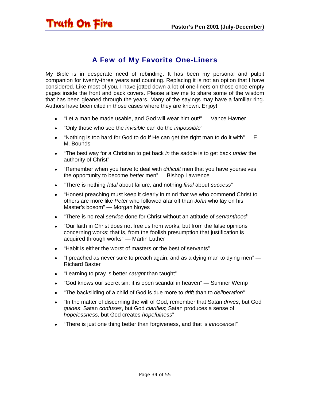#### A Few of My Favorite One-Liners

<span id="page-33-0"></span>My Bible is in desperate need of rebinding. It has been my personal and pulpit companion for twenty-three years and counting. Replacing it is not an option that I have considered. Like most of you, I have jotted down a lot of one-liners on those once empty pages inside the front and back covers. Please allow me to share some of the wisdom that has been gleaned through the years. Many of the sayings may have a familiar ring. Authors have been cited in those cases where they are known. Enjoy!

- "Let a man be made usable, and God will wear him out!" Vance Havner
- "Only those who see the *invisible* can do the *impossible*"
- "Nothing is too hard for God to do if He can get the right man to do it with"  $E$ . M. Bounds
- "The best way for a Christian to get back *in* the saddle is to get back *under* the authority of Christ"
- "Remember when you have to deal with *difficult* men that you have yourselves the opportunity to become *better* men" — Bishop Lawrence
- "There is nothing *fatal* about failure, and nothing *final* about *success*"
- "Honest preaching must keep it clearly in mind that we who commend Christ to others are more like *Peter* who followed afar off than *John* who lay on his Master's bosom" — Morgan Noyes
- "There is no real *service* done for Christ without an attitude of *servanthood*"
- "Our faith in Christ does not free us from works, but from the false opinions concerning works; that is, from the foolish presumption that justification is acquired through works" — Martin Luther
- "Habit is either the worst of masters or the best of servants"
- "I preached as never sure to preach again; and as a dying man to dying men" Richard Baxter
- "Learning to pray is better *caught* than taught"
- "God knows our secret sin; it is open scandal in heaven" Sumner Wemp
- "The backsliding of a child of God is due more to *drift* than to *deliberation*"
- "In the matter of discerning the will of God, remember that Satan *drives*, but God *guides*; Satan *confuses*, but God *clarifies*; Satan produces a sense of *hopelessness*, but God creates *hopefulness*"
- "There is just one thing better than forgiveness, and that is *innocence*!"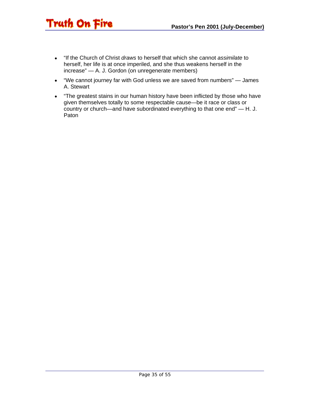• "If the Church of Christ *draws* to herself that which she cannot *assimilate* to herself, her life is at once imperiled, and she thus weakens herself in the increase" — A. J. Gordon (on unregenerate members)

**Truth On Fire** 

- "We cannot journey far with God unless we are saved from numbers" James A. Stewart
- "The greatest stains in our human history have been inflicted by those who have given themselves totally to some respectable cause—be it race or class or country or church—and have subordinated everything to that one end" — H. J. Paton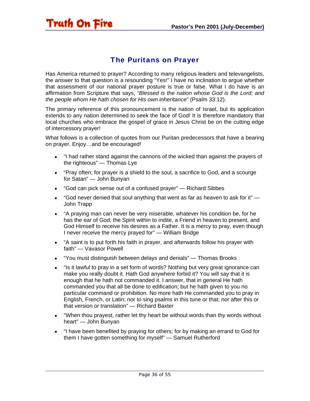# <span id="page-35-0"></span>Truth On Fire

#### The Puritans on Prayer

Has America returned to prayer? According to many religious leaders and televangelists, the answer to that question is a resounding "Yes!" I have no inclination to argue whether that assessment of our national prayer posture is true or false. What I do have is an affirmation from Scripture that says, "*Blessed is the nation whose God is the Lord; and the people whom He hath chosen for His own inheritance*" (Psalm 33:12).

The primary reference of this pronouncement is the nation of Israel, but its application extends to any nation determined to seek the face of God! It is therefore mandatory that local churches who embrace the gospel of grace in Jesus Christ be on the cutting edge of intercessory prayer!

What follows is a collection of quotes from our Puritan predecessors that have a bearing on prayer. Enjoy…and be encouraged!

- "I had rather stand against the cannons of the wicked than against the prayers of the righteous" — Thomas Lye
- "Pray often; for prayer is a shield to the soul, a sacrifice to God, and a scourge for Satan" — John Bunyan
- "God can pick sense out of a confused prayer" Richard Sibbes
- "God never denied that soul anything that went as far as heaven to ask for it" John Trapp
- "A praying man can never be very miserable, whatever his condition be, for he has the ear of God; the Spirit within to indite, a Friend in heaven to present, and God Himself to receive his desires as a Father. It is a mercy to pray, even though I never receive the mercy prayed for" — William Bridge
- "A saint is to put forth his faith in prayer, and afterwards follow his prayer with faith" — Vavasor Powell
- "You must distinguish between delays and denials" Thomas Brooks
- "Is it lawful to pray in a set form of words? Nothing but very great ignorance can make you really doubt it. Hath God anywhere forbid it? You will say that it is enough that he hath not commanded it. I answer, that in general He hath commanded you that all be done to edification; but he hath given to you no particular command or prohibition. No more hath He commanded you to pray in English, French, or Latin; nor to sing psalms in this tune or that; nor after this or that version or translation" — Richard Baxter
- "When thou prayest, rather let thy heart be without words than thy words without heart" — John Bunyan
- "I have been benefited by praying for others; for by making an errand to God for them I have gotten something for myself" — Samuel Rutherford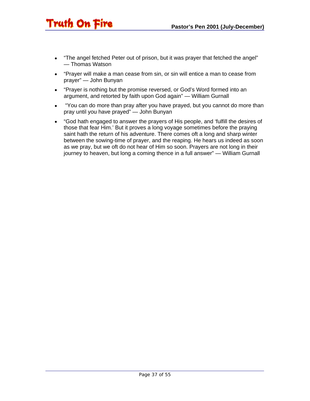• "The angel fetched Peter out of prison, but it was prayer that fetched the angel" — Thomas Watson

Truth On Fire

- "Prayer will make a man cease from sin, or sin will entice a man to cease from prayer" — John Bunyan
- "Prayer is nothing but the promise reversed, or God's Word formed into an argument, and retorted by faith upon God again" — William Gurnall
- "You can do more than pray after you have prayed, but you cannot do more than pray until you have prayed" — John Bunyan
- "God hath engaged to answer the prayers of His people, and 'fulfill the desires of those that fear Him.' But it proves a long voyage sometimes before the praying saint hath the return of his adventure. There comes oft a long and sharp winter between the sowing-time of prayer, and the reaping. He hears us indeed as soon as we pray, but we oft do not hear of Him so soon. Prayers are not long in their journey to heaven, but long a coming thence in a full answer" — William Gurnall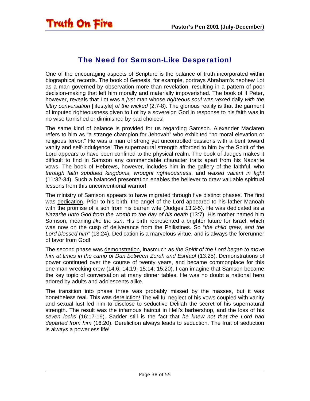#### The Need for Samson-Like Desperation!

<span id="page-37-0"></span>One of the encouraging aspects of Scripture is the balance of truth incorporated within biographical records. The book of Genesis, for example, portrays Abraham's nephew Lot as a man governed by observation more than revelation, resulting in a pattern of poor decision-making that left him morally and materially impoverished. The book of II Peter, however, reveals that Lot was a *just* man whose *righteous soul* was *vexed* daily *with the filthy conversation* [lifestyle] *of the wicked* (2:7-8). The glorious reality is that the garment of imputed righteousness given to Lot by a sovereign God in response to his faith was in no wise tarnished or diminished by bad choices!

The same kind of balance is provided for us regarding Samson. Alexander Maclaren refers to him as "a strange champion for Jehovah" who exhibited "no moral elevation or religious fervor." He was a man of strong yet uncontrolled passions with a bent toward vanity and self-indulgence! The supernatural strength afforded to him by the Spirit of the Lord appears to have been confined to the physical realm. The book of Judges makes it difficult to find in Samson any commendable character traits apart from his Nazarite vows. The book of Hebrews, however, includes him in the gallery of the faithful, who *through faith subdued kingdoms*, *wrought righteousness*, and *waxed valiant in fight* (11:32-34). Such a balanced presentation enables the believer to draw valuable spiritual lessons from this unconventional warrior!

The ministry of Samson appears to have migrated through five distinct phases. The first was dedication. Prior to his birth, the angel of the Lord appeared to his father Manoah with the promise of a son from his barren wife (Judges 13:2-5). He was dedicated as *a Nazarite unto God from the womb to the day of his death* (13:7). His mother named him Samson, meaning *like the sun*. His birth represented a brighter future for Israel, which was now on the cusp of deliverance from the Philistines. So "*the child grew, and the Lord blessed him"* (13:24). Dedication is a marvelous virtue, and is always the forerunner of favor from God!

The second phase was demonstration, inasmuch as *the Spirit of the Lord began to move him at times in the camp of Dan between Zorah and Eshtaol* (13:25). Demonstrations of power continued over the course of twenty years, and became commonplace for this one-man wrecking crew (14:6; 14:19; 15:14; 15:20). I can imagine that Samson became the key topic of conversation at many dinner tables. He was no doubt a national hero adored by adults and adolescents alike.

The transition into phase three was probably missed by the masses, but it was nonetheless real. This was dereliction! The willful neglect of his vows coupled with vanity and sexual lust led him to disclose to seductive Delilah the secret of his supernatural strength. The result was the infamous haircut in Hell's barbershop, and the loss of his *seven locks* (16:17-19). Sadder still is the fact that *he knew not that the Lord had departed from him* (16:20). Dereliction always leads to seduction. The fruit of seduction is always a powerless life!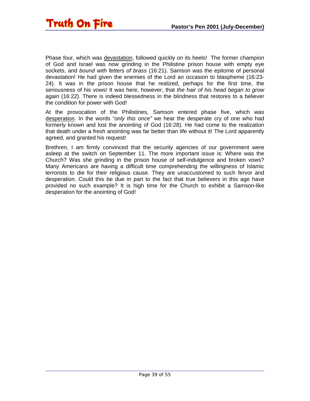

Phase four, which was devastation, followed quickly on its heels! The former champion of God and Israel was now grinding in the Philistine prison house with empty eye sockets, and *bound with fetters of brass* (16:21). Samson was the epitome of personal devastation! He had given the enemies of the Lord an occasion to blaspheme (16:23- 24). It was in the prison house that he realized, perhaps for the first time, the seriousness of his vows! It was here, however, that *the hair of his head began to grow again* (16:22). There is indeed blessedness in the blindness that restores to a believer the condition for power with God!

At the provocation of the Philistines, Samson entered phase five, which was desperation. In the words "*only this once"* we hear the desperate cry of one who had formerly known and lost the anointing of God (16:28). He had come to the realization that death under a fresh anointing was far better than life without it! The Lord apparently agreed, and granted his request!

Brethren, I am firmly convinced that the security agencies of our government were asleep at the switch on September 11. The more important issue is: Where was the Church? Was she grinding in the prison house of self-indulgence and broken vows? Many Americans are having a difficult time comprehending the willingness of Islamic terrorists to die for their religious cause. They are unaccustomed to such fervor and desperation. Could this be due in part to the fact that true believers in this age have provided no such example? It is high time for the Church to exhibit a Samson-like desperation for the anointing of God!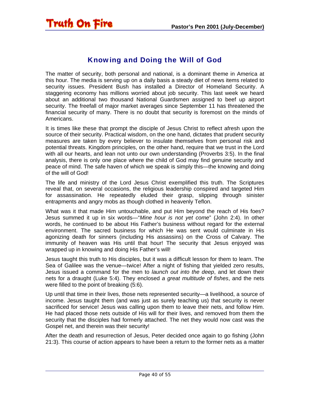<span id="page-39-0"></span>

#### Knowing and Doing the Will of God

The matter of security, both personal and national, is a dominant theme in America at this hour. The media is serving up on a daily basis a steady diet of news items related to security issues. President Bush has installed a Director of Homeland Security. A staggering economy has millions worried about job security. This last week we heard about an additional two thousand National Guardsmen assigned to beef up airport security. The freefall of major market averages since September 11 has threatened the financial security of many. There is no doubt that security is foremost on the minds of Americans.

It is times like these that prompt the disciple of Jesus Christ to reflect afresh upon the source of their security. Practical wisdom, on the one hand, dictates that prudent security measures are taken by every believer to insulate themselves from personal risk and potential threats. Kingdom principles, on the other hand, require that we trust in the Lord with all our hearts, and lean not unto our own understanding (Proverbs 3:5). In the final analysis, there is only one place where the child of God may find genuine security and peace of mind. The safe haven of which we speak is simply this—the knowing and doing of the will of God!

The life and ministry of the Lord Jesus Christ exemplified this truth. The Scriptures reveal that, on several occasions, the religious leadership conspired and targeted Him for assassination. He repeatedly eluded their grasp, slipping through sinister entrapments and angry mobs as though clothed in heavenly Teflon.

What was it that made Him untouchable, and put Him beyond the reach of His foes? Jesus summed it up in six words—"*Mine hour is not yet come*" (John 2:4). In other words, he continued to be about His Father's business without regard for the external environment. The sacred business for which He was sent would culminate in His agonizing death for sinners (including His assassins) on the Cross of Calvary. The immunity of heaven was His until that hour! The security that Jesus enjoyed was wrapped up in knowing and doing His Father's will!

Jesus taught this truth to His disciples, but it was a difficult lesson for them to learn. The Sea of Galilee was the venue—twice! After a night of fishing that yielded zero results, Jesus issued a command for the men to *launch out into the deep*, and let down their nets for a draught (Luke 5:4). They enclosed *a great multitude of fishes*, and the nets were filled to the point of breaking (5:6).

Up until that time in their lives, those nets represented security—a livelihood, a source of income. Jesus taught them (and was just as surely teaching us) that security is never sacrificed for service! Jesus was calling upon them to leave their nets, and follow Him. He had placed those nets outside of His will for their lives, and removed from them the security that the disciples had formerly attached. The net they would now cast was the Gospel net, and therein was their security!

After the death and resurrection of Jesus, Peter decided once again to go fishing (John 21:3). This course of action appears to have been a return to the former nets as a matter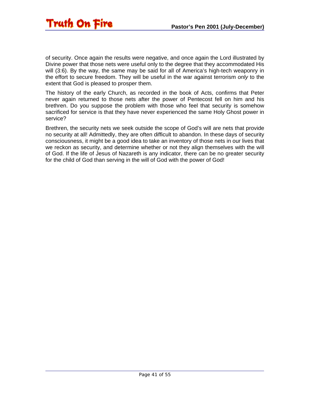

of security. Once again the results were negative, and once again the Lord illustrated by Divine power that those nets were useful only to the degree that they accommodated His will (3:6). By the way, the same may be said for all of America's high-tech weaponry in the effort to secure freedom. They will be useful in the war against terrorism *only* to the extent that God is pleased to prosper them.

The history of the early Church, as recorded in the book of Acts, confirms that Peter never again returned to those nets after the power of Pentecost fell on him and his brethren. Do you suppose the problem with those who feel that security is somehow sacrificed for service is that they have never experienced the same Holy Ghost power in service?

Brethren, the security nets we seek outside the scope of God's will are nets that provide no security at all! Admittedly, they are often difficult to abandon. In these days of security consciousness, it might be a good idea to take an inventory of those nets in our lives that we reckon as security, and determine whether or not they align themselves with the will of God. If the life of Jesus of Nazareth is any indicator, there can be no greater security for the child of God than serving in the will of God with the power of God!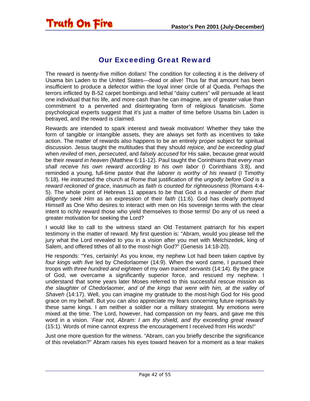# <span id="page-41-0"></span>**Truth On Fire**

#### Our Exceeding Great Reward

The reward is twenty-five million dollars! The condition for collecting it is the delivery of Usama bin Laden to the United States—dead or alive! Thus far that amount has been insufficient to produce a defector within the loyal inner circle of al Queda. Perhaps the terrors inflicted by B-52 carpet bombings and lethal "daisy cutters" will persuade at least one individual that his life, and more cash than he can imagine, are of greater value than commitment to a perverted and disintegrating form of religious fanaticism. Some psychological experts suggest that it's just a matter of time before Usama bin Laden is betrayed, and the reward is claimed.

Rewards are intended to spark interest and tweak motivation! Whether they take the form of tangible or intangible assets, they are always set forth as incentives to take action. The matter of rewards also happens to be an entirely proper subject for spiritual discussion. Jesus taught the multitudes that they should *rejoice, and be exceeding glad* when *reviled* of men, *persecuted*, and *falsely accused* for His sake, because *great* would be their *reward in heaven* (Matthew 6:11-12). Paul taught the Corinthians that *every man shall receive his own reward according to his own labor* (I Corinthians 3:8), and reminded a young, full-time pastor that *the laborer is worthy of his reward* (I Timothy 5:18). He instructed the church at Rome that justification of the *ungodly before God* is a *reward reckoned of grace*, inasmuch as *faith is counted for righteousness* (Romans 4:4- 5). The whole point of Hebrews 11 appears to be that God is *a rewarder of them that diligently seek Him* as an expression of their *faith* (11:6). God has clearly portrayed Himself as One Who desires to interact with men on His sovereign terms with the clear intent to richly reward those who yield themselves to those terms! Do any of us need a greater motivation for seeking the Lord?

I would like to call to the witness stand an Old Testament patriarch for his expert testimony in the matter of reward. My first question is: "Abram, would you please tell the jury what the Lord revealed to you in a vision after you met with Melchizedek, king of Salem, and offered tithes of all to the most-high God?" (Genesis 14:18-20).

He responds: "Yes, certainly! As you know, my nephew Lot had been taken captive by *four kings with five* led by Chedorlaomer (14:9). When the word came, I pursued their troops with *three hundred and eighteen* of my own *trained servants* (14:14). By the grace of God, we overcame a significantly superior force, and rescued my nephew. I understand that some years later Moses referred to this successful rescue mission as *the slaughter of Chedorlaomer, and of the kings that were with him, at the valley of Shaveh* (14:17). Well, you can imagine my gratitude to the most-high God for His good grace on my behalf. But you can also appreciate my fears concerning future reprisals by these same kings. I am neither a soldier nor a military strategist. My emotions were mixed at the time. The Lord, however, had compassion on my fears, and gave me this word in a vision. '*Fear not, Abram: I am thy shield, and thy exceeding great reward*' (15:1). Words of mine cannot express the encouragement I received from His words!"

Just one more question for the witness. "Abram, can you briefly describe the significance of this revelation?" Abram raises his eyes toward heaven for a moment as a tear makes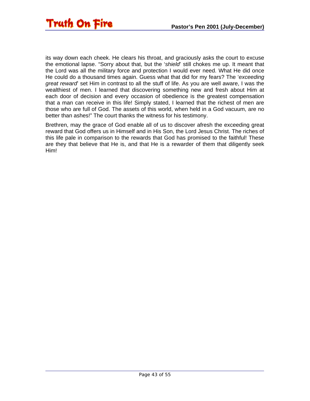

its way down each cheek. He clears his throat, and graciously asks the court to excuse the emotional lapse. "Sorry about that, but the '*shield*' still chokes me up. It meant that the Lord was all the military force and protection I would ever need. What He did once He could do a thousand times again. Guess what that did for my fears? The '*exceeding great reward*' set Him in contrast to all the stuff of life. As you are well aware, I was the wealthiest of men. I learned that discovering something new and fresh about Him at each door of decision and every occasion of obedience is the greatest compensation that a man can receive in this life! Simply stated, I learned that the richest of men are those who are full of God. The assets of this world, when held in a God vacuum, are no better than ashes!" The court thanks the witness for his testimony.

Brethren, may the grace of God enable all of us to discover afresh the exceeding great reward that God offers us in Himself and in His Son, the Lord Jesus Christ. The riches of this life pale in comparison to the rewards that God has promised to the faithful! These are they that believe that He is, and that He is a rewarder of them that diligently seek Him!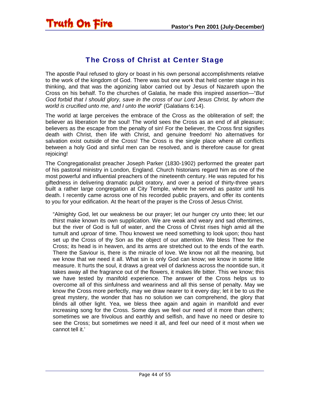#### The Cross of Christ at Center Stage

<span id="page-43-0"></span>The apostle Paul refused to glory or boast in his own personal accomplishments relative to the work of the kingdom of God. There was but one work that held center stage in his thinking, and that was the agonizing labor carried out by Jesus of Nazareth upon the Cross on his behalf. To the churches of Galatia, he made this inspired assertion—"*But God forbid that I should glory, save in the cross of our Lord Jesus Christ, by whom the world is crucified unto me, and I unto the world*" (Galatians 6:14).

The world at large perceives the embrace of the Cross as the obliteration of self; the believer as liberation for the soul! The world sees the Cross as an end of all pleasure; believers as the escape from the penalty of sin! For the believer, the Cross first signifies death with Christ, then life with Christ, and genuine freedom! No alternatives for salvation exist outside of the Cross! The Cross is the single place where all conflicts between a holy God and sinful men can be resolved, and is therefore cause for great rejoicing!

The Congregationalist preacher Joseph Parker (1830-1902) performed the greater part of his pastoral ministry in London, England. Church historians regard him as one of the most powerful and influential preachers of the nineteenth century. He was reputed for his giftedness in delivering dramatic pulpit oratory, and over a period of thirty-three years built a rather large congregation at City Temple, where he served as pastor until his death. I recently came across one of his recorded public prayers, and offer its contents to you for your edification. At the heart of the prayer is the Cross of Jesus Christ.

"Almighty God, let our weakness be our prayer; let our hunger cry unto thee; let our thirst make known its own supplication. We are weak and weary and sad oftentimes, but the river of God is full of water, and the Cross of Christ rises high amid all the tumult and uproar of time. Thou knowest we need something to look upon; thou hast set up the Cross of thy Son as the object of our attention. We bless Thee for the Cross; its head is in heaven, and its arms are stretched out to the ends of the earth. There the Saviour is, there is the miracle of love. We know not all the meaning, but we know that we need it all. What sin is only God can know; we know in some little measure. It hurts the soul, it draws a great veil of darkness across the noontide sun, it takes away all the fragrance out of the flowers, it makes life bitter. This we know; this we have tested by manifold experience. The answer of the Cross helps us to overcome all of this sinfulness and weariness and all this sense of penalty. May we know the Cross more perfectly, may we draw nearer to it every day; let it be to us the great mystery, the wonder that has no solution we can comprehend, the glory that blinds all other light. Yea, we bless thee again and again in manifold and ever increasing song for the Cross. Some days we feel our need of it more than others; sometimes we are frivolous and earthly and selfish, and have no need or desire to see the Cross; but sometimes we need it all, and feel our need of it most when we cannot tell it.'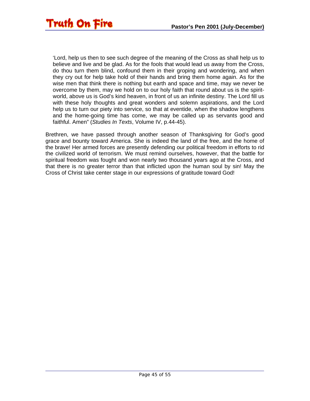'Lord, help us then to see such degree of the meaning of the Cross as shall help us to believe and live and be glad. As for the fools that would lead us away from the Cross, do thou turn them blind, confound them in their groping and wondering, and when they cry out for help take hold of their hands and bring them home again. As for the wise men that think there is nothing but earth and space and time, may we never be overcome by them, may we hold on to our holy faith that round about us is the spiritworld, above us is God's kind heaven, in front of us an infinite destiny. The Lord fill us with these holy thoughts and great wonders and solemn aspirations, and the Lord help us to turn our piety into service, so that at eventide, when the shadow lengthens and the home-going time has come, we may be called up as servants good and faithful. Amen" (*Studies In Texts*, Volume IV, p.44-45).

Brethren, we have passed through another season of Thanksgiving for God's good grace and bounty toward America. She is indeed the land of the free, and the home of the brave! Her armed forces are presently defending our political freedom in efforts to rid the civilized world of terrorism. We must remind ourselves, however, that the battle for spiritual freedom was fought and won nearly two thousand years ago at the Cross, and that there is no greater terror than that inflicted upon the human soul by sin! May the Cross of Christ take center stage in our expressions of gratitude toward God!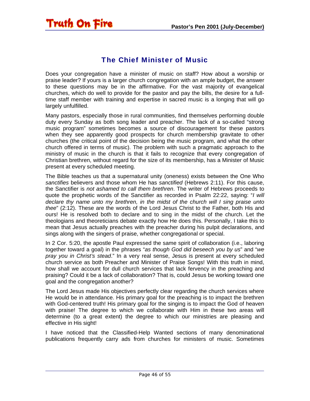## <span id="page-45-0"></span>Truth On Fire

#### The Chief Minister of Music

Does your congregation have a minister of music on staff? How about a worship or praise leader? If yours is a larger church congregation with an ample budget, the answer to these questions may be in the affirmative. For the vast majority of evangelical churches, which do well to provide for the pastor and pay the bills, the desire for a fulltime staff member with training and expertise in sacred music is a longing that will go largely unfulfilled.

Many pastors, especially those in rural communities, find themselves performing double duty every Sunday as both song leader and preacher. The lack of a so-called "strong music program" sometimes becomes a source of discouragement for these pastors when they see apparently good prospects for church membership gravitate to other churches (the critical point of the decision being the music program, and what the other church offered in terms of music). The problem with such a pragmatic approach to the ministry of music in the church is that it fails to recognize that every congregation of Christian brethren, without regard for the size of its membership, has a Minister of Music present at every scheduled meeting.

The Bible teaches us that a supernatural unity (oneness) exists between the One Who *sanctifies* believers and those whom He has *sanctified* (Hebrews 2:11). For this cause, the Sanctifier is *not ashamed to call them brethren*. The writer of Hebrews proceeds to quote the prophetic words of the Sanctifier as recorded in Psalm 22:22, saying: "*I will declare thy name unto my brethren, in the midst of the church will I sing praise unto thee*" (2:12). These are the words of the Lord Jesus Christ to the Father, both His and ours! He is resolved both to declare and to sing in the midst of the church. Let the theologians and theoreticians debate exactly how He does this. Personally, I take this to mean that Jesus actually preaches with the preacher during his pulpit declarations, and sings along with the singers of praise, whether congregational or special.

In 2 Cor. 5:20, the apostle Paul expressed the same spirit of collaboration (i.e., laboring together toward a goal) in the phrases "*as though God did beseech you by us*" and "*we pray you in Christ's stead*." In a very real sense, Jesus is present at every scheduled church service as both Preacher and Minister of Praise Songs! With this truth in mind, how shall we account for dull church services that lack fervency in the preaching and praising? Could it be a lack of collaboration? That is, could Jesus be working toward one goal and the congregation another?

The Lord Jesus made His objectives perfectly clear regarding the church services where He would be in attendance. His primary goal for the preaching is to impact the brethren with God-centered truth! His primary goal for the singing is to impact the God of heaven with praise! The degree to which we collaborate with Him in these two areas will determine (to a great extent) the degree to which our ministries are pleasing and effective in His sight!

I have noticed that the Classified-Help Wanted sections of many denominational publications frequently carry ads from churches for ministers of music. Sometimes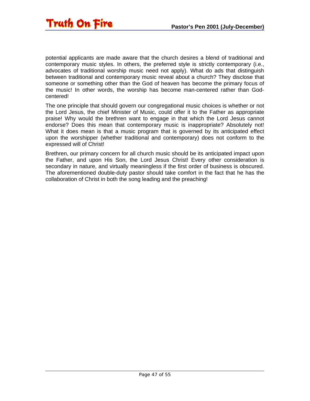

potential applicants are made aware that the church desires a blend of traditional and contemporary music styles. In others, the preferred style is strictly contemporary (i.e., advocates of traditional worship music need not apply). What do ads that distinguish between traditional and contemporary music reveal about a church? They disclose that someone or something other than the God of heaven has become the primary focus of the music! In other words, the worship has become man-centered rather than Godcentered!

The one principle that should govern our congregational music choices is whether or not the Lord Jesus, the chief Minister of Music, could offer it to the Father as appropriate praise! Why would the brethren want to engage in that which the Lord Jesus cannot endorse? Does this mean that contemporary music is inappropriate? Absolutely not! What it does mean is that a music program that is governed by its anticipated effect upon the worshipper (whether traditional and contemporary) does not conform to the expressed will of Christ!

Brethren, our primary concern for all church music should be its anticipated impact upon the Father, and upon His Son, the Lord Jesus Christ! Every other consideration is secondary in nature, and virtually meaningless if the first order of business is obscured. The aforementioned double-duty pastor should take comfort in the fact that he has the collaboration of Christ in both the song leading and the preaching!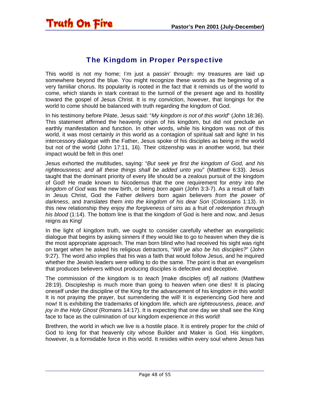#### The Kingdom in Proper Perspective

<span id="page-47-0"></span>This world is not my home; I'm just a passin' through: my treasures are laid up somewhere beyond the blue. You might recognize these words as the beginning of a very familiar chorus. Its popularity is rooted in the fact that it reminds us of the world to come, which stands in stark contrast to the turmoil of the present age and its hostility toward the gospel of Jesus Christ. It is my conviction, however, that longings for the world to come should be balanced with truth regarding the kingdom of God.

In his testimony before Pilate, Jesus said: "*My kingdom is not of this world*" (John 18:36). This statement affirmed the heavenly origin of his kingdom, but did not preclude an earthly manifestation and function. In other words, while his kingdom was not *of* this world, it was most certainly *in* this world as a contagion of spiritual salt and light! In his intercessory dialogue with the Father, Jesus spoke of his disciples as being *in* the world but not *of* the world (John 17:11, 16). Their citizenship was in another world, but their impact would be felt in this one!

Jesus exhorted the multitudes, saying: "*But seek ye first the kingdom of God, and his righteousness; and all these things shall be added unto you*" (Matthew 6:33). Jesus taught that the dominant priority of every life should be a zealous pursuit of the kingdom of God! He made known to Nicodemus that the one requirement for *entry* into *the kingdom of God* was the new birth, or being *born again* (John 3:3-7). As a result of faith in Jesus Christ, God the Father *delivers* born again believers *from the power of darkness*, and *translates* them *into the kingdom of his dear Son* (Colossians 1:13). In this new relationship they enjoy *the forgiveness of sins* as a fruit of *redemption through his blood* (1:14). The bottom line is that the kingdom of God is here and now, and Jesus reigns as King!

In the light of kingdom truth, we ought to consider carefully whether an evangelistic dialogue that begins by asking sinners if they would like to go to heaven when they die is the most appropriate approach. The man born blind who had received his sight was right on target when he asked his religious detractors, "*Will ye also be his disciples?*" (John 9:27). The word *also* implies that his was a faith that would follow Jesus, and he inquired whether the Jewish leaders were willing to do the same. The point is that an evangelism that produces believers without producing disciples is defective and deceptive.

The commission of the kingdom is to *teach* [make disciples of] *all nations* (Matthew 28:19). Discipleship is much more than going to heaven when one dies! It is placing oneself under the discipline of the King for the advancement of his kingdom *in* this world! It is not praying the prayer, but surrendering the will! It is experiencing God here and now! It is exhibiting the trademarks of kingdom life, which are *righteousness, peace, and joy in the Holy Ghost* (Romans 14:17). It is expecting that one day we shall see the King face to face as the culmination of our kingdom experience *in* this world!

Brethren, the world in which we live is a hostile place. It is entirely proper for the child of God to long for that heavenly city whose Builder and Maker is God. His kingdom, however, is a formidable force in this world. It resides within every soul where Jesus has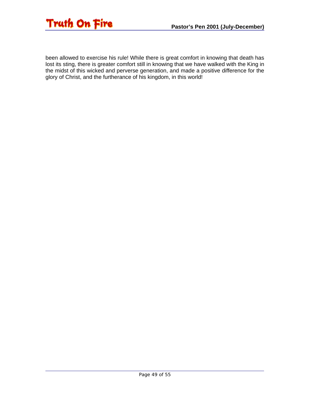

been allowed to exercise his rule! While there is great comfort in knowing that death has lost its sting, there is greater comfort still in knowing that we have walked with the King in the midst of this wicked and perverse generation, and made a positive difference for the glory of Christ, and the furtherance of his kingdom, in this world!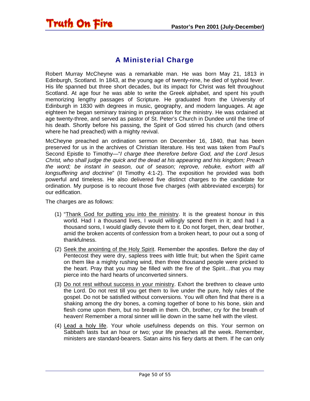#### A Ministerial Charge

Robert Murray McCheyne was a remarkable man. He was born May 21, 1813 in Edinburgh, Scotland. In 1843, at the young age of twenty-nine, he died of typhoid fever. His life spanned but three short decades, but its impact for Christ was felt throughout Scotland. At age four he was able to write the Greek alphabet, and spent his youth memorizing lengthy passages of Scripture. He graduated from the University of Edinburgh in 1830 with degrees in music, geography, and modern languages. At age eighteen he began seminary training in preparation for the ministry. He was ordained at age twenty-three, and served as pastor of St. Peter's Church in Dundee until the time of his death. Shortly before his passing, the Spirit of God stirred his church (and others where he had preached) with a mighty revival.

McCheyne preached an ordination sermon on December 16, 1840, that has been preserved for us in the archives of Christian literature. His text was taken from Paul's Second Epistle to Timothy—"*I charge thee therefore before God, and the Lord Jesus Christ, who shall judge the quick and the dead at his appearing and his kingdom; Preach the word; be instant in season, out of season; reprove, rebuke, exhort with all longsuffering and doctrine*" (II Timothy 4:1-2). The exposition he provided was both powerful and timeless. He also delivered five distinct charges to the candidate for ordination. My purpose is to recount those five charges (with abbreviated excerpts) for our edification.

The charges are as follows:

<span id="page-49-0"></span>**Truth On Fire** 

- (1) "Thank God for putting you into the ministry. It is the greatest honour in this world. Had I a thousand lives, I would willingly spend them in it; and had I a thousand sons, I would gladly devote them to it. Do not forget, then, dear brother, amid the broken accents of confession from a broken heart, to pour out a song of thankfulness.
- (2) Seek the anointing of the Holy Spirit. Remember the apostles. Before the day of Pentecost they were dry, sapless trees with little fruit; but when the Spirit came on them like a mighty rushing wind, then three thousand people were pricked to the heart. Pray that you may be filled with the fire of the Spirit…that you may pierce into the hard hearts of unconverted sinners.
- (3) Do not rest without success in your ministry. Exhort the brethren to cleave unto the Lord. Do not rest till you get them to live under the pure, holy rules of the gospel. Do not be satisfied without conversions. You will often find that there is a shaking among the dry bones, a coming together of bone to his bone, skin and flesh come upon them, but no breath in them. Oh, brother, cry for the breath of heaven! Remember a moral sinner will lie down in the same hell with the vilest.
- (4) Lead a holy life. Your whole usefulness depends on this. Your sermon on Sabbath lasts but an hour or two; your life preaches all the week. Remember, ministers are standard-bearers. Satan aims his fiery darts at them. If he can only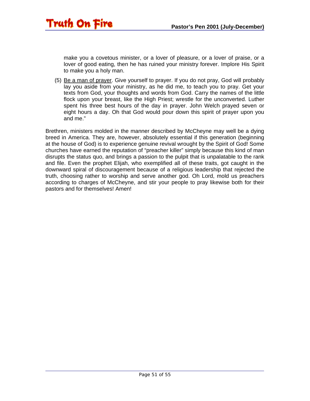make you a covetous minister, or a lover of pleasure, or a lover of praise, or a lover of good eating, then he has ruined your ministry forever. Implore His Spirit to make you a holy man.

Truth On Fire

(5) Be a man of prayer. Give yourself to prayer. If you do not pray, God will probably lay you aside from your ministry, as he did me, to teach you to pray. Get your texts from God, your thoughts and words from God. Carry the names of the little flock upon your breast, like the High Priest; wrestle for the unconverted. Luther spent his three best hours of the day in prayer. John Welch prayed seven or eight hours a day. Oh that God would pour down this spirit of prayer upon you and me."

Brethren, ministers molded in the manner described by McCheyne may well be a dying breed in America. They are, however, absolutely essential if this generation (beginning at the house of God) is to experience genuine revival wrought by the Spirit of God! Some churches have earned the reputation of "preacher killer" simply because this kind of man disrupts the status quo, and brings a passion to the pulpit that is unpalatable to the rank and file. Even the prophet Elijah, who exemplified all of these traits, got caught in the downward spiral of discouragement because of a religious leadership that rejected the truth, choosing rather to worship and serve another god. Oh Lord, mold us preachers according to charges of McCheyne, and stir your people to pray likewise both for their pastors and for themselves! Amen!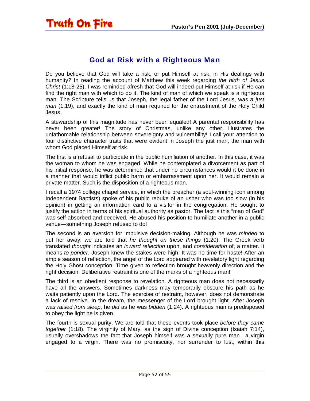#### God at Risk with a Righteous Man

<span id="page-51-0"></span>Do you believe that God will take a risk, or put Himself at risk, in His dealings with humanity? In reading the account of Matthew this week regarding *the birth of Jesus Christ* (1:18-25), I was reminded afresh that God will indeed put Himself at risk if He can find the right man with which to do it. The kind of man of which we speak is a righteous man. The Scripture tells us that Joseph, the legal father of the Lord Jesus, was *a just man* (1:19), and exactly the kind of man required for the entrustment of the Holy Child Jesus.

A stewardship of this magnitude has never been equaled! A parental responsibility has never been greater! The story of Christmas, unlike any other, illustrates the unfathomable relationship between sovereignty and vulnerability! I call your attention to four distinctive character traits that were evident in Joseph the just man, the man with whom God placed Himself at risk.

The first is a refusal to participate in the public humiliation of another. In this case, it was the woman to whom he was engaged. While he contemplated a divorcement as part of his initial response, he was determined that under no circumstances would it be done in a manner that would inflict public harm or embarrassment upon her. It would remain a private matter. Such is the disposition of a righteous man.

I recall a 1974 college chapel service, in which the preacher (a soul-winning icon among Independent Baptists) spoke of his public rebuke of an usher who was too slow (in his opinion) in getting an information card to a visitor in the congregation. He sought to justify the action in terms of his spiritual authority as pastor. The fact is this "man of God" was self-absorbed and deceived. He abused his position to humiliate another in a public venue—something Joseph refused to do!

The second is an aversion for impulsive decision-making. Although he was *minded* to put her away, we are told that *he thought on these things* (1:20). The Greek verb translated *thought* indicates an *inward reflection* upon, and *consideration* of, a matter. It means *to ponder*. Joseph knew the stakes were high. It was no time for haste! After an ample season of reflection, the angel of the Lord appeared with revelatory light regarding the Holy Ghost conception. Time given to reflection brought heavenly direction and the right decision! Deliberative restraint is one of the marks of a righteous man!

The third is an obedient response to revelation. A righteous man does not necessarily have all the answers. Sometimes darkness may temporarily obscure his path as he waits patiently upon the Lord. The exercise of restraint, however, does not demonstrate a lack of resolve. In the dream, the messenger of the Lord brought light. After Joseph was *raised from sleep*, he *did* as he was *bidden* (1:24). A righteous man is predisposed to obey the light he is given.

The fourth is sexual purity. We are told that these events took place *before they came together* (1:18). The virginity of Mary, as the sign of Divine conception (Isaiah 7:14), usually overshadows the fact that Joseph himself was a sexually pure man—a virgin engaged to a virgin. There was no promiscuity, nor surrender to lust, within this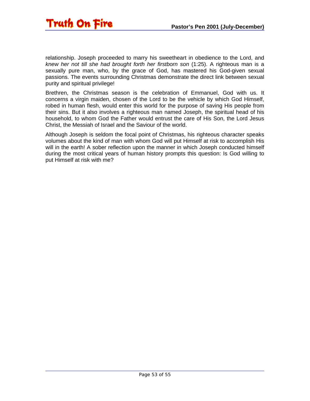relationship. Joseph proceeded to marry his sweetheart in obedience to the Lord, and *knew her not till she had brought forth her firstborn son* (1:25). A righteous man is a sexually pure man, who, by the grace of God, has mastered his God-given sexual passions. The events surrounding Christmas demonstrate the direct link between sexual purity and spiritual privilege!

Brethren, the Christmas season is the celebration of Emmanuel, God with us. It concerns a virgin maiden, chosen of the Lord to be the vehicle by which God Himself, robed in human flesh, would enter this world for the purpose of saving His people from their sins. But it also involves a righteous man named Joseph, the spiritual head of his household, to whom God the Father would entrust the care of His Son, the Lord Jesus Christ, the Messiah of Israel and the Saviour of the world.

Although Joseph is seldom the focal point of Christmas, his righteous character speaks volumes about the kind of man with whom God will put Himself at risk to accomplish His will in the earth! A sober reflection upon the manner in which Joseph conducted himself during the most critical years of human history prompts this question: Is God willing to put Himself at risk with me?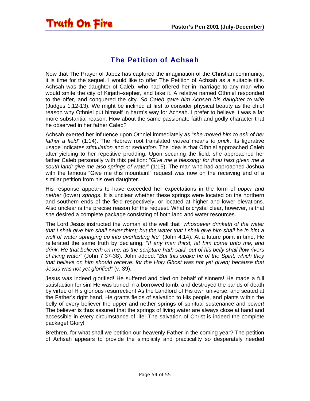#### The Petition of Achsah

<span id="page-53-0"></span>Truth On Fire

Now that The Prayer of Jabez has captured the imagination of the Christian community, it is time for the sequel. I would like to offer The Petition of Achsah as a suitable title. Achsah was the daughter of Caleb, who had offered her in marriage to any man who would smite the city of Kirjath–sepher, and take it. A relative named Othniel responded to the offer, and conquered the city. *So Caleb gave him Achsah his daughter to wife* (Judges 1:12-13). We might be inclined at first to consider physical beauty as the chief reason why Othniel put himself in harm's way for Achsah. I prefer to believe it was a far more substantial reason. How about the same passionate faith and godly character that he observed in her father Caleb?

Achsah exerted her influence upon Othniel immediately as "*she moved him to ask of her father a field*" (1:14). The Hebrew root translated *moved* means *to prick*. Its figurative usage indicates *stimulation* and or *seduction*. The idea is that Othniel approached Caleb after yielding to her repetitive prodding. Upon securing the field, she approached her father Caleb personally with this petition: "*Give me a blessing: for thou hast given me a south land; give me also springs of water*" (1:15). The man who had approached Joshua with the famous "Give me this mountain!" request was now on the receiving end of a similar petition from his own daughter.

His response appears to have exceeded her expectations in the form of *upper and nether* (lower) *springs*. It is unclear whether these springs were located on the northern and southern ends of the field respectively, or located at higher and lower elevations. Also unclear is the precise reason for the request. What is crystal clear, however, is that she desired a complete package consisting of both land and water resources.

The Lord Jesus instructed the woman at the well that "*whosoever drinketh of the water that I shall give him shall never thirst; but the water that I shall give him shall be in him a well of water springing up into everlasting life*" (John 4:14). At a future point in time, He reiterated the same truth by declaring, "*If any man thirst, let him come unto me, and drink. He that believeth on me, as the scripture hath said, out of his belly shall flow rivers of living water*" (John 7:37-38). John added: "*But this spake he of the Spirit, which they that believe on him should receive: for the Holy Ghost was not yet given; because that Jesus was not yet glorified*" (v. 39).

Jesus was indeed glorified! He suffered and died on behalf of sinners! He made a full satisfaction for sin! He was buried in a borrowed tomb, and destroyed the bands of death by virtue of His glorious resurrection! As the Landlord of His own universe, and seated at the Father's right hand, He grants fields of salvation to His people, and plants within the belly of every believer the upper and nether springs of spiritual sustenance and power! The believer is thus assured that the springs of living water are always close at hand and accessible in every circumstance of life! The salvation of Christ is indeed the complete package! Glory!

Brethren, for what shall we petition our heavenly Father in the coming year? The petition of Achsah appears to provide the simplicity and practicality so desperately needed